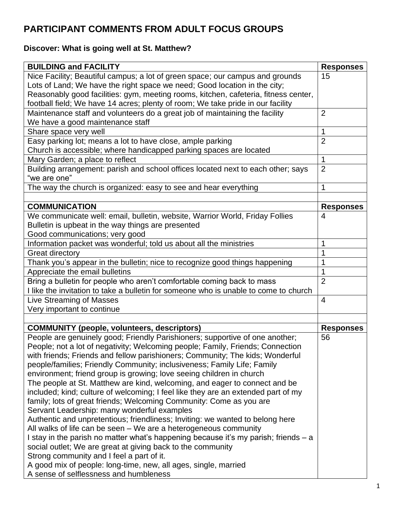# **PARTICIPANT COMMENTS FROM ADULT FOCUS GROUPS**

## **Discover: What is going well at St. Matthew?**

| Nice Facility; Beautiful campus; a lot of green space; our campus and grounds<br>15<br>Lots of Land; We have the right space we need; Good location in the city;<br>Reasonably good facilities: gym, meeting rooms, kitchen, cafeteria, fitness center,<br>football field; We have 14 acres; plenty of room; We take pride in our facility<br>Maintenance staff and volunteers do a great job of maintaining the facility<br>$\overline{2}$<br>We have a good maintenance staff<br>1<br>Share space very well<br>Easy parking lot; means a lot to have close, ample parking<br>$\overline{2}$<br>Church is accessible; where handicapped parking spaces are located<br>Mary Garden; a place to reflect<br>1<br>$\overline{2}$<br>Building arrangement: parish and school offices located next to each other; says<br>"we are one"<br>The way the church is organized: easy to see and hear everything<br>1<br><b>COMMUNICATION</b><br><b>Responses</b><br>We communicate well: email, bulletin, website, Warrior World, Friday Follies<br>4<br>Bulletin is upbeat in the way things are presented<br>Good communications; very good<br>Information packet was wonderful; told us about all the ministries<br>Great directory<br>Thank you's appear in the bulletin; nice to recognize good things happening<br>Appreciate the email bulletins<br>Bring a bulletin for people who aren't comfortable coming back to mass<br>$\overline{2}$<br>I like the invitation to take a bulletin for someone who is unable to come to church<br>Live Streaming of Masses<br>4<br>Very important to continue<br><b>COMMUNITY (people, volunteers, descriptors)</b><br><b>Responses</b><br>People are genuinely good; Friendly Parishioners; supportive of one another;<br>56<br>People; not a lot of negativity; Welcoming people; Family, Friends; Connection<br>with friends; Friends and fellow parishioners; Community; The kids; Wonderful<br>people/families; Friendly Community; inclusiveness; Family Life; Family<br>environment; friend group is growing; love seeing children in church<br>The people at St. Matthew are kind, welcoming, and eager to connect and be<br>included; kind; culture of welcoming; I feel like they are an extended part of my<br>family; lots of great friends; Welcoming Community: Come as you are<br>Servant Leadership: many wonderful examples<br>Authentic and unpretentious; friendliness; Inviting: we wanted to belong here<br>All walks of life can be seen - We are a heterogeneous community<br>I stay in the parish no matter what's happening because it's my parish; friends – a<br>social outlet; We are great at giving back to the community<br>Strong community and I feel a part of it.<br>A good mix of people: long-time, new, all ages, single, married |                                        |                  |
|------------------------------------------------------------------------------------------------------------------------------------------------------------------------------------------------------------------------------------------------------------------------------------------------------------------------------------------------------------------------------------------------------------------------------------------------------------------------------------------------------------------------------------------------------------------------------------------------------------------------------------------------------------------------------------------------------------------------------------------------------------------------------------------------------------------------------------------------------------------------------------------------------------------------------------------------------------------------------------------------------------------------------------------------------------------------------------------------------------------------------------------------------------------------------------------------------------------------------------------------------------------------------------------------------------------------------------------------------------------------------------------------------------------------------------------------------------------------------------------------------------------------------------------------------------------------------------------------------------------------------------------------------------------------------------------------------------------------------------------------------------------------------------------------------------------------------------------------------------------------------------------------------------------------------------------------------------------------------------------------------------------------------------------------------------------------------------------------------------------------------------------------------------------------------------------------------------------------------------------------------------------------------------------------------------------------------------------------------------------------------------------------------------------------------------------------------------------------------------------------------------------------------------------------------------------------------------------------------------------------------------------------------------------------------------------------------------------------------------------------------------------------------------------------------------|----------------------------------------|------------------|
|                                                                                                                                                                                                                                                                                                                                                                                                                                                                                                                                                                                                                                                                                                                                                                                                                                                                                                                                                                                                                                                                                                                                                                                                                                                                                                                                                                                                                                                                                                                                                                                                                                                                                                                                                                                                                                                                                                                                                                                                                                                                                                                                                                                                                                                                                                                                                                                                                                                                                                                                                                                                                                                                                                                                                                                                            | <b>BUILDING and FACILITY</b>           | <b>Responses</b> |
|                                                                                                                                                                                                                                                                                                                                                                                                                                                                                                                                                                                                                                                                                                                                                                                                                                                                                                                                                                                                                                                                                                                                                                                                                                                                                                                                                                                                                                                                                                                                                                                                                                                                                                                                                                                                                                                                                                                                                                                                                                                                                                                                                                                                                                                                                                                                                                                                                                                                                                                                                                                                                                                                                                                                                                                                            |                                        |                  |
|                                                                                                                                                                                                                                                                                                                                                                                                                                                                                                                                                                                                                                                                                                                                                                                                                                                                                                                                                                                                                                                                                                                                                                                                                                                                                                                                                                                                                                                                                                                                                                                                                                                                                                                                                                                                                                                                                                                                                                                                                                                                                                                                                                                                                                                                                                                                                                                                                                                                                                                                                                                                                                                                                                                                                                                                            |                                        |                  |
|                                                                                                                                                                                                                                                                                                                                                                                                                                                                                                                                                                                                                                                                                                                                                                                                                                                                                                                                                                                                                                                                                                                                                                                                                                                                                                                                                                                                                                                                                                                                                                                                                                                                                                                                                                                                                                                                                                                                                                                                                                                                                                                                                                                                                                                                                                                                                                                                                                                                                                                                                                                                                                                                                                                                                                                                            |                                        |                  |
|                                                                                                                                                                                                                                                                                                                                                                                                                                                                                                                                                                                                                                                                                                                                                                                                                                                                                                                                                                                                                                                                                                                                                                                                                                                                                                                                                                                                                                                                                                                                                                                                                                                                                                                                                                                                                                                                                                                                                                                                                                                                                                                                                                                                                                                                                                                                                                                                                                                                                                                                                                                                                                                                                                                                                                                                            |                                        |                  |
|                                                                                                                                                                                                                                                                                                                                                                                                                                                                                                                                                                                                                                                                                                                                                                                                                                                                                                                                                                                                                                                                                                                                                                                                                                                                                                                                                                                                                                                                                                                                                                                                                                                                                                                                                                                                                                                                                                                                                                                                                                                                                                                                                                                                                                                                                                                                                                                                                                                                                                                                                                                                                                                                                                                                                                                                            |                                        |                  |
|                                                                                                                                                                                                                                                                                                                                                                                                                                                                                                                                                                                                                                                                                                                                                                                                                                                                                                                                                                                                                                                                                                                                                                                                                                                                                                                                                                                                                                                                                                                                                                                                                                                                                                                                                                                                                                                                                                                                                                                                                                                                                                                                                                                                                                                                                                                                                                                                                                                                                                                                                                                                                                                                                                                                                                                                            |                                        |                  |
|                                                                                                                                                                                                                                                                                                                                                                                                                                                                                                                                                                                                                                                                                                                                                                                                                                                                                                                                                                                                                                                                                                                                                                                                                                                                                                                                                                                                                                                                                                                                                                                                                                                                                                                                                                                                                                                                                                                                                                                                                                                                                                                                                                                                                                                                                                                                                                                                                                                                                                                                                                                                                                                                                                                                                                                                            |                                        |                  |
|                                                                                                                                                                                                                                                                                                                                                                                                                                                                                                                                                                                                                                                                                                                                                                                                                                                                                                                                                                                                                                                                                                                                                                                                                                                                                                                                                                                                                                                                                                                                                                                                                                                                                                                                                                                                                                                                                                                                                                                                                                                                                                                                                                                                                                                                                                                                                                                                                                                                                                                                                                                                                                                                                                                                                                                                            |                                        |                  |
|                                                                                                                                                                                                                                                                                                                                                                                                                                                                                                                                                                                                                                                                                                                                                                                                                                                                                                                                                                                                                                                                                                                                                                                                                                                                                                                                                                                                                                                                                                                                                                                                                                                                                                                                                                                                                                                                                                                                                                                                                                                                                                                                                                                                                                                                                                                                                                                                                                                                                                                                                                                                                                                                                                                                                                                                            |                                        |                  |
|                                                                                                                                                                                                                                                                                                                                                                                                                                                                                                                                                                                                                                                                                                                                                                                                                                                                                                                                                                                                                                                                                                                                                                                                                                                                                                                                                                                                                                                                                                                                                                                                                                                                                                                                                                                                                                                                                                                                                                                                                                                                                                                                                                                                                                                                                                                                                                                                                                                                                                                                                                                                                                                                                                                                                                                                            |                                        |                  |
|                                                                                                                                                                                                                                                                                                                                                                                                                                                                                                                                                                                                                                                                                                                                                                                                                                                                                                                                                                                                                                                                                                                                                                                                                                                                                                                                                                                                                                                                                                                                                                                                                                                                                                                                                                                                                                                                                                                                                                                                                                                                                                                                                                                                                                                                                                                                                                                                                                                                                                                                                                                                                                                                                                                                                                                                            |                                        |                  |
|                                                                                                                                                                                                                                                                                                                                                                                                                                                                                                                                                                                                                                                                                                                                                                                                                                                                                                                                                                                                                                                                                                                                                                                                                                                                                                                                                                                                                                                                                                                                                                                                                                                                                                                                                                                                                                                                                                                                                                                                                                                                                                                                                                                                                                                                                                                                                                                                                                                                                                                                                                                                                                                                                                                                                                                                            |                                        |                  |
|                                                                                                                                                                                                                                                                                                                                                                                                                                                                                                                                                                                                                                                                                                                                                                                                                                                                                                                                                                                                                                                                                                                                                                                                                                                                                                                                                                                                                                                                                                                                                                                                                                                                                                                                                                                                                                                                                                                                                                                                                                                                                                                                                                                                                                                                                                                                                                                                                                                                                                                                                                                                                                                                                                                                                                                                            |                                        |                  |
|                                                                                                                                                                                                                                                                                                                                                                                                                                                                                                                                                                                                                                                                                                                                                                                                                                                                                                                                                                                                                                                                                                                                                                                                                                                                                                                                                                                                                                                                                                                                                                                                                                                                                                                                                                                                                                                                                                                                                                                                                                                                                                                                                                                                                                                                                                                                                                                                                                                                                                                                                                                                                                                                                                                                                                                                            |                                        |                  |
|                                                                                                                                                                                                                                                                                                                                                                                                                                                                                                                                                                                                                                                                                                                                                                                                                                                                                                                                                                                                                                                                                                                                                                                                                                                                                                                                                                                                                                                                                                                                                                                                                                                                                                                                                                                                                                                                                                                                                                                                                                                                                                                                                                                                                                                                                                                                                                                                                                                                                                                                                                                                                                                                                                                                                                                                            |                                        |                  |
|                                                                                                                                                                                                                                                                                                                                                                                                                                                                                                                                                                                                                                                                                                                                                                                                                                                                                                                                                                                                                                                                                                                                                                                                                                                                                                                                                                                                                                                                                                                                                                                                                                                                                                                                                                                                                                                                                                                                                                                                                                                                                                                                                                                                                                                                                                                                                                                                                                                                                                                                                                                                                                                                                                                                                                                                            |                                        |                  |
|                                                                                                                                                                                                                                                                                                                                                                                                                                                                                                                                                                                                                                                                                                                                                                                                                                                                                                                                                                                                                                                                                                                                                                                                                                                                                                                                                                                                                                                                                                                                                                                                                                                                                                                                                                                                                                                                                                                                                                                                                                                                                                                                                                                                                                                                                                                                                                                                                                                                                                                                                                                                                                                                                                                                                                                                            |                                        |                  |
|                                                                                                                                                                                                                                                                                                                                                                                                                                                                                                                                                                                                                                                                                                                                                                                                                                                                                                                                                                                                                                                                                                                                                                                                                                                                                                                                                                                                                                                                                                                                                                                                                                                                                                                                                                                                                                                                                                                                                                                                                                                                                                                                                                                                                                                                                                                                                                                                                                                                                                                                                                                                                                                                                                                                                                                                            |                                        |                  |
|                                                                                                                                                                                                                                                                                                                                                                                                                                                                                                                                                                                                                                                                                                                                                                                                                                                                                                                                                                                                                                                                                                                                                                                                                                                                                                                                                                                                                                                                                                                                                                                                                                                                                                                                                                                                                                                                                                                                                                                                                                                                                                                                                                                                                                                                                                                                                                                                                                                                                                                                                                                                                                                                                                                                                                                                            |                                        |                  |
|                                                                                                                                                                                                                                                                                                                                                                                                                                                                                                                                                                                                                                                                                                                                                                                                                                                                                                                                                                                                                                                                                                                                                                                                                                                                                                                                                                                                                                                                                                                                                                                                                                                                                                                                                                                                                                                                                                                                                                                                                                                                                                                                                                                                                                                                                                                                                                                                                                                                                                                                                                                                                                                                                                                                                                                                            |                                        |                  |
|                                                                                                                                                                                                                                                                                                                                                                                                                                                                                                                                                                                                                                                                                                                                                                                                                                                                                                                                                                                                                                                                                                                                                                                                                                                                                                                                                                                                                                                                                                                                                                                                                                                                                                                                                                                                                                                                                                                                                                                                                                                                                                                                                                                                                                                                                                                                                                                                                                                                                                                                                                                                                                                                                                                                                                                                            |                                        |                  |
|                                                                                                                                                                                                                                                                                                                                                                                                                                                                                                                                                                                                                                                                                                                                                                                                                                                                                                                                                                                                                                                                                                                                                                                                                                                                                                                                                                                                                                                                                                                                                                                                                                                                                                                                                                                                                                                                                                                                                                                                                                                                                                                                                                                                                                                                                                                                                                                                                                                                                                                                                                                                                                                                                                                                                                                                            |                                        |                  |
|                                                                                                                                                                                                                                                                                                                                                                                                                                                                                                                                                                                                                                                                                                                                                                                                                                                                                                                                                                                                                                                                                                                                                                                                                                                                                                                                                                                                                                                                                                                                                                                                                                                                                                                                                                                                                                                                                                                                                                                                                                                                                                                                                                                                                                                                                                                                                                                                                                                                                                                                                                                                                                                                                                                                                                                                            |                                        |                  |
|                                                                                                                                                                                                                                                                                                                                                                                                                                                                                                                                                                                                                                                                                                                                                                                                                                                                                                                                                                                                                                                                                                                                                                                                                                                                                                                                                                                                                                                                                                                                                                                                                                                                                                                                                                                                                                                                                                                                                                                                                                                                                                                                                                                                                                                                                                                                                                                                                                                                                                                                                                                                                                                                                                                                                                                                            |                                        |                  |
|                                                                                                                                                                                                                                                                                                                                                                                                                                                                                                                                                                                                                                                                                                                                                                                                                                                                                                                                                                                                                                                                                                                                                                                                                                                                                                                                                                                                                                                                                                                                                                                                                                                                                                                                                                                                                                                                                                                                                                                                                                                                                                                                                                                                                                                                                                                                                                                                                                                                                                                                                                                                                                                                                                                                                                                                            |                                        |                  |
|                                                                                                                                                                                                                                                                                                                                                                                                                                                                                                                                                                                                                                                                                                                                                                                                                                                                                                                                                                                                                                                                                                                                                                                                                                                                                                                                                                                                                                                                                                                                                                                                                                                                                                                                                                                                                                                                                                                                                                                                                                                                                                                                                                                                                                                                                                                                                                                                                                                                                                                                                                                                                                                                                                                                                                                                            |                                        |                  |
|                                                                                                                                                                                                                                                                                                                                                                                                                                                                                                                                                                                                                                                                                                                                                                                                                                                                                                                                                                                                                                                                                                                                                                                                                                                                                                                                                                                                                                                                                                                                                                                                                                                                                                                                                                                                                                                                                                                                                                                                                                                                                                                                                                                                                                                                                                                                                                                                                                                                                                                                                                                                                                                                                                                                                                                                            |                                        |                  |
|                                                                                                                                                                                                                                                                                                                                                                                                                                                                                                                                                                                                                                                                                                                                                                                                                                                                                                                                                                                                                                                                                                                                                                                                                                                                                                                                                                                                                                                                                                                                                                                                                                                                                                                                                                                                                                                                                                                                                                                                                                                                                                                                                                                                                                                                                                                                                                                                                                                                                                                                                                                                                                                                                                                                                                                                            |                                        |                  |
|                                                                                                                                                                                                                                                                                                                                                                                                                                                                                                                                                                                                                                                                                                                                                                                                                                                                                                                                                                                                                                                                                                                                                                                                                                                                                                                                                                                                                                                                                                                                                                                                                                                                                                                                                                                                                                                                                                                                                                                                                                                                                                                                                                                                                                                                                                                                                                                                                                                                                                                                                                                                                                                                                                                                                                                                            |                                        |                  |
|                                                                                                                                                                                                                                                                                                                                                                                                                                                                                                                                                                                                                                                                                                                                                                                                                                                                                                                                                                                                                                                                                                                                                                                                                                                                                                                                                                                                                                                                                                                                                                                                                                                                                                                                                                                                                                                                                                                                                                                                                                                                                                                                                                                                                                                                                                                                                                                                                                                                                                                                                                                                                                                                                                                                                                                                            |                                        |                  |
|                                                                                                                                                                                                                                                                                                                                                                                                                                                                                                                                                                                                                                                                                                                                                                                                                                                                                                                                                                                                                                                                                                                                                                                                                                                                                                                                                                                                                                                                                                                                                                                                                                                                                                                                                                                                                                                                                                                                                                                                                                                                                                                                                                                                                                                                                                                                                                                                                                                                                                                                                                                                                                                                                                                                                                                                            |                                        |                  |
|                                                                                                                                                                                                                                                                                                                                                                                                                                                                                                                                                                                                                                                                                                                                                                                                                                                                                                                                                                                                                                                                                                                                                                                                                                                                                                                                                                                                                                                                                                                                                                                                                                                                                                                                                                                                                                                                                                                                                                                                                                                                                                                                                                                                                                                                                                                                                                                                                                                                                                                                                                                                                                                                                                                                                                                                            |                                        |                  |
|                                                                                                                                                                                                                                                                                                                                                                                                                                                                                                                                                                                                                                                                                                                                                                                                                                                                                                                                                                                                                                                                                                                                                                                                                                                                                                                                                                                                                                                                                                                                                                                                                                                                                                                                                                                                                                                                                                                                                                                                                                                                                                                                                                                                                                                                                                                                                                                                                                                                                                                                                                                                                                                                                                                                                                                                            |                                        |                  |
|                                                                                                                                                                                                                                                                                                                                                                                                                                                                                                                                                                                                                                                                                                                                                                                                                                                                                                                                                                                                                                                                                                                                                                                                                                                                                                                                                                                                                                                                                                                                                                                                                                                                                                                                                                                                                                                                                                                                                                                                                                                                                                                                                                                                                                                                                                                                                                                                                                                                                                                                                                                                                                                                                                                                                                                                            |                                        |                  |
|                                                                                                                                                                                                                                                                                                                                                                                                                                                                                                                                                                                                                                                                                                                                                                                                                                                                                                                                                                                                                                                                                                                                                                                                                                                                                                                                                                                                                                                                                                                                                                                                                                                                                                                                                                                                                                                                                                                                                                                                                                                                                                                                                                                                                                                                                                                                                                                                                                                                                                                                                                                                                                                                                                                                                                                                            |                                        |                  |
|                                                                                                                                                                                                                                                                                                                                                                                                                                                                                                                                                                                                                                                                                                                                                                                                                                                                                                                                                                                                                                                                                                                                                                                                                                                                                                                                                                                                                                                                                                                                                                                                                                                                                                                                                                                                                                                                                                                                                                                                                                                                                                                                                                                                                                                                                                                                                                                                                                                                                                                                                                                                                                                                                                                                                                                                            |                                        |                  |
|                                                                                                                                                                                                                                                                                                                                                                                                                                                                                                                                                                                                                                                                                                                                                                                                                                                                                                                                                                                                                                                                                                                                                                                                                                                                                                                                                                                                                                                                                                                                                                                                                                                                                                                                                                                                                                                                                                                                                                                                                                                                                                                                                                                                                                                                                                                                                                                                                                                                                                                                                                                                                                                                                                                                                                                                            |                                        |                  |
|                                                                                                                                                                                                                                                                                                                                                                                                                                                                                                                                                                                                                                                                                                                                                                                                                                                                                                                                                                                                                                                                                                                                                                                                                                                                                                                                                                                                                                                                                                                                                                                                                                                                                                                                                                                                                                                                                                                                                                                                                                                                                                                                                                                                                                                                                                                                                                                                                                                                                                                                                                                                                                                                                                                                                                                                            |                                        |                  |
|                                                                                                                                                                                                                                                                                                                                                                                                                                                                                                                                                                                                                                                                                                                                                                                                                                                                                                                                                                                                                                                                                                                                                                                                                                                                                                                                                                                                                                                                                                                                                                                                                                                                                                                                                                                                                                                                                                                                                                                                                                                                                                                                                                                                                                                                                                                                                                                                                                                                                                                                                                                                                                                                                                                                                                                                            |                                        |                  |
|                                                                                                                                                                                                                                                                                                                                                                                                                                                                                                                                                                                                                                                                                                                                                                                                                                                                                                                                                                                                                                                                                                                                                                                                                                                                                                                                                                                                                                                                                                                                                                                                                                                                                                                                                                                                                                                                                                                                                                                                                                                                                                                                                                                                                                                                                                                                                                                                                                                                                                                                                                                                                                                                                                                                                                                                            |                                        |                  |
|                                                                                                                                                                                                                                                                                                                                                                                                                                                                                                                                                                                                                                                                                                                                                                                                                                                                                                                                                                                                                                                                                                                                                                                                                                                                                                                                                                                                                                                                                                                                                                                                                                                                                                                                                                                                                                                                                                                                                                                                                                                                                                                                                                                                                                                                                                                                                                                                                                                                                                                                                                                                                                                                                                                                                                                                            |                                        |                  |
|                                                                                                                                                                                                                                                                                                                                                                                                                                                                                                                                                                                                                                                                                                                                                                                                                                                                                                                                                                                                                                                                                                                                                                                                                                                                                                                                                                                                                                                                                                                                                                                                                                                                                                                                                                                                                                                                                                                                                                                                                                                                                                                                                                                                                                                                                                                                                                                                                                                                                                                                                                                                                                                                                                                                                                                                            |                                        |                  |
|                                                                                                                                                                                                                                                                                                                                                                                                                                                                                                                                                                                                                                                                                                                                                                                                                                                                                                                                                                                                                                                                                                                                                                                                                                                                                                                                                                                                                                                                                                                                                                                                                                                                                                                                                                                                                                                                                                                                                                                                                                                                                                                                                                                                                                                                                                                                                                                                                                                                                                                                                                                                                                                                                                                                                                                                            |                                        |                  |
|                                                                                                                                                                                                                                                                                                                                                                                                                                                                                                                                                                                                                                                                                                                                                                                                                                                                                                                                                                                                                                                                                                                                                                                                                                                                                                                                                                                                                                                                                                                                                                                                                                                                                                                                                                                                                                                                                                                                                                                                                                                                                                                                                                                                                                                                                                                                                                                                                                                                                                                                                                                                                                                                                                                                                                                                            |                                        |                  |
|                                                                                                                                                                                                                                                                                                                                                                                                                                                                                                                                                                                                                                                                                                                                                                                                                                                                                                                                                                                                                                                                                                                                                                                                                                                                                                                                                                                                                                                                                                                                                                                                                                                                                                                                                                                                                                                                                                                                                                                                                                                                                                                                                                                                                                                                                                                                                                                                                                                                                                                                                                                                                                                                                                                                                                                                            |                                        |                  |
|                                                                                                                                                                                                                                                                                                                                                                                                                                                                                                                                                                                                                                                                                                                                                                                                                                                                                                                                                                                                                                                                                                                                                                                                                                                                                                                                                                                                                                                                                                                                                                                                                                                                                                                                                                                                                                                                                                                                                                                                                                                                                                                                                                                                                                                                                                                                                                                                                                                                                                                                                                                                                                                                                                                                                                                                            | A sense of selflessness and humbleness |                  |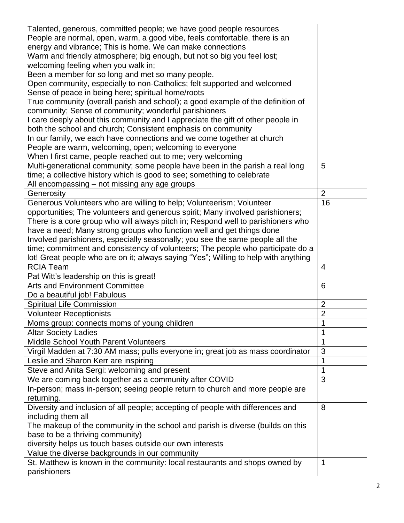| Talented, generous, committed people; we have good people resources                                                     |                |
|-------------------------------------------------------------------------------------------------------------------------|----------------|
| People are normal, open, warm, a good vibe, feels comfortable, there is an                                              |                |
| energy and vibrance; This is home. We can make connections                                                              |                |
| Warm and friendly atmosphere; big enough, but not so big you feel lost;                                                 |                |
| welcoming feeling when you walk in;                                                                                     |                |
| Been a member for so long and met so many people.                                                                       |                |
| Open community, especially to non-Catholics; felt supported and welcomed                                                |                |
| Sense of peace in being here; spiritual home/roots                                                                      |                |
| True community (overall parish and school); a good example of the definition of                                         |                |
| community; Sense of community; wonderful parishioners                                                                   |                |
| I care deeply about this community and I appreciate the gift of other people in                                         |                |
| both the school and church; Consistent emphasis on community                                                            |                |
| In our family, we each have connections and we come together at church                                                  |                |
| People are warm, welcoming, open; welcoming to everyone                                                                 |                |
| When I first came, people reached out to me; very welcoming                                                             |                |
| Multi-generational community; some people have been in the parish a real long                                           | 5              |
| time; a collective history which is good to see; something to celebrate                                                 |                |
| All encompassing - not missing any age groups                                                                           |                |
| Generosity                                                                                                              | $\overline{2}$ |
| Generous Volunteers who are willing to help; Volunteerism; Volunteer                                                    | 16             |
| opportunities; The volunteers and generous spirit; Many involved parishioners;                                          |                |
| There is a core group who will always pitch in; Respond well to parishioners who                                        |                |
| have a need; Many strong groups who function well and get things done                                                   |                |
| Involved parishioners, especially seasonally; you see the same people all the                                           |                |
| time; commitment and consistency of volunteers; The people who participate do a                                         |                |
| lot! Great people who are on it; always saying "Yes"; Willing to help with anything                                     |                |
|                                                                                                                         |                |
| <b>RCIA Team</b>                                                                                                        | $\overline{4}$ |
|                                                                                                                         |                |
| Pat Witt's leadership on this is great!                                                                                 |                |
| <b>Arts and Environment Committee</b>                                                                                   | 6              |
| Do a beautiful job! Fabulous                                                                                            | $\overline{2}$ |
| <b>Spiritual Life Commission</b><br><b>Volunteer Receptionists</b>                                                      | $\overline{2}$ |
|                                                                                                                         | 1              |
| Moms group: connects moms of young children<br><b>Altar Society Ladies</b>                                              |                |
| Middle School Youth Parent Volunteers                                                                                   |                |
|                                                                                                                         | 3              |
| Virgil Madden at 7:30 AM mass; pulls everyone in; great job as mass coordinator<br>Leslie and Sharon Kerr are inspiring | 1              |
| Steve and Anita Sergi: welcoming and present                                                                            | 1              |
| We are coming back together as a community after COVID                                                                  | 3              |
|                                                                                                                         |                |
| In-person; mass in-person; seeing people return to church and more people are<br>returning.                             |                |
| Diversity and inclusion of all people; accepting of people with differences and                                         | 8              |
| including them all                                                                                                      |                |
| The makeup of the community in the school and parish is diverse (builds on this                                         |                |
| base to be a thriving community)                                                                                        |                |
| diversity helps us touch bases outside our own interests                                                                |                |
| Value the diverse backgrounds in our community                                                                          |                |
| St. Matthew is known in the community: local restaurants and shops owned by                                             | 1              |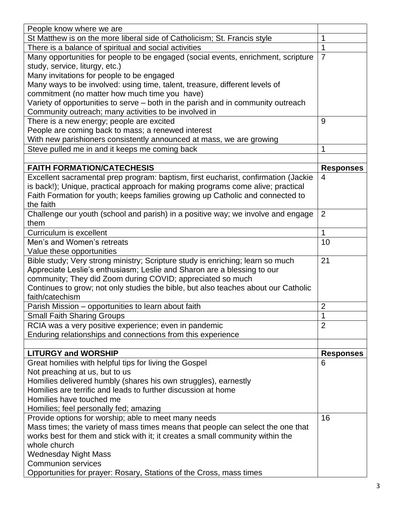| People know where we are                                                           |                  |
|------------------------------------------------------------------------------------|------------------|
| St Matthew is on the more liberal side of Catholicism; St. Francis style           | 1                |
| There is a balance of spiritual and social activities                              | 1                |
| Many opportunities for people to be engaged (social events, enrichment, scripture  | $\overline{7}$   |
| study, service, liturgy, etc.)                                                     |                  |
| Many invitations for people to be engaged                                          |                  |
| Many ways to be involved: using time, talent, treasure, different levels of        |                  |
| commitment (no matter how much time you have)                                      |                  |
| Variety of opportunities to serve – both in the parish and in community outreach   |                  |
| Community outreach; many activities to be involved in                              |                  |
| There is a new energy; people are excited                                          | 9                |
| People are coming back to mass; a renewed interest                                 |                  |
| With new parishioners consistently announced at mass, we are growing               |                  |
| Steve pulled me in and it keeps me coming back                                     | 1                |
|                                                                                    |                  |
| <b>FAITH FORMATION/CATECHESIS</b>                                                  | <b>Responses</b> |
| Excellent sacramental prep program: baptism, first eucharist, confirmation (Jackie | 4                |
| is back!); Unique, practical approach for making programs come alive; practical    |                  |
| Faith Formation for youth; keeps families growing up Catholic and connected to     |                  |
| the faith                                                                          |                  |
| Challenge our youth (school and parish) in a positive way; we involve and engage   | $\overline{2}$   |
| them                                                                               |                  |
| Curriculum is excellent                                                            | 1                |
| Men's and Women's retreats                                                         | 10               |
| Value these opportunities                                                          |                  |
| Bible study; Very strong ministry; Scripture study is enriching; learn so much     | 21               |
| Appreciate Leslie's enthusiasm; Leslie and Sharon are a blessing to our            |                  |
| community; They did Zoom during COVID; appreciated so much                         |                  |
| Continues to grow; not only studies the bible, but also teaches about our Catholic |                  |
| faith/catechism                                                                    |                  |
| Parish Mission - opportunities to learn about faith                                | $\overline{2}$   |
| <b>Small Faith Sharing Groups</b>                                                  | 1                |
| RCIA was a very positive experience; even in pandemic                              | $\overline{2}$   |
| Enduring relationships and connections from this experience                        |                  |
|                                                                                    |                  |
| <b>LITURGY and WORSHIP</b>                                                         | <b>Responses</b> |
| Great homilies with helpful tips for living the Gospel                             | 6                |
| Not preaching at us, but to us                                                     |                  |
| Homilies delivered humbly (shares his own struggles), earnestly                    |                  |
| Homilies are terrific and leads to further discussion at home                      |                  |
| Homilies have touched me                                                           |                  |
| Homilies; feel personally fed; amazing                                             |                  |
| Provide options for worship; able to meet many needs                               | 16               |
| Mass times; the variety of mass times means that people can select the one that    |                  |
| works best for them and stick with it; it creates a small community within the     |                  |
| whole church                                                                       |                  |
| <b>Wednesday Night Mass</b>                                                        |                  |
| <b>Communion services</b>                                                          |                  |
| Opportunities for prayer: Rosary, Stations of the Cross, mass times                |                  |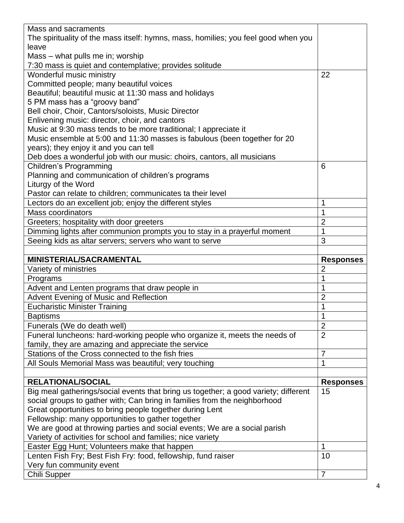| Mass and sacraments                                                                 |                  |
|-------------------------------------------------------------------------------------|------------------|
| The spirituality of the mass itself: hymns, mass, homilies; you feel good when you  |                  |
| leave                                                                               |                  |
| Mass – what pulls me in; worship                                                    |                  |
| 7:30 mass is quiet and contemplative; provides solitude                             |                  |
| Wonderful music ministry                                                            | 22               |
| Committed people; many beautiful voices                                             |                  |
| Beautiful; beautiful music at 11:30 mass and holidays                               |                  |
| 5 PM mass has a "groovy band"                                                       |                  |
| Bell choir, Choir, Cantors/soloists, Music Director                                 |                  |
| Enlivening music: director, choir, and cantors                                      |                  |
| Music at 9:30 mass tends to be more traditional; I appreciate it                    |                  |
| Music ensemble at 5:00 and 11:30 masses is fabulous (been together for 20           |                  |
| years); they enjoy it and you can tell                                              |                  |
| Deb does a wonderful job with our music: choirs, cantors, all musicians             |                  |
| <b>Children's Programming</b>                                                       | 6                |
| Planning and communication of children's programs                                   |                  |
| Liturgy of the Word                                                                 |                  |
| Pastor can relate to children; communicates ta their level                          |                  |
| Lectors do an excellent job; enjoy the different styles                             | 1                |
| <b>Mass coordinators</b>                                                            | 1                |
| Greeters; hospitality with door greeters                                            | $\overline{2}$   |
| Dimming lights after communion prompts you to stay in a prayerful moment            | 1                |
| Seeing kids as altar servers; servers who want to serve                             | 3                |
|                                                                                     |                  |
|                                                                                     |                  |
| <b>MINISTERIAL/SACRAMENTAL</b>                                                      | <b>Responses</b> |
| Variety of ministries                                                               | $\overline{2}$   |
| Programs                                                                            | 1                |
| Advent and Lenten programs that draw people in                                      |                  |
| <b>Advent Evening of Music and Reflection</b>                                       | $\overline{2}$   |
| <b>Eucharistic Minister Training</b>                                                | 1                |
| <b>Baptisms</b>                                                                     | 1                |
| Funerals (We do death well)                                                         | $\overline{2}$   |
| Funeral luncheons: hard-working people who organize it, meets the needs of          | $\overline{2}$   |
| family, they are amazing and appreciate the service                                 |                  |
| Stations of the Cross connected to the fish fries                                   | $\overline{7}$   |
| All Souls Memorial Mass was beautiful; very touching                                | 1                |
|                                                                                     |                  |
| <b>RELATIONAL/SOCIAL</b>                                                            | <b>Responses</b> |
| Big meal gatherings/social events that bring us together; a good variety; different | 15               |
| social groups to gather with; Can bring in families from the neighborhood           |                  |
| Great opportunities to bring people together during Lent                            |                  |
| Fellowship: many opportunities to gather together                                   |                  |
| We are good at throwing parties and social events; We are a social parish           |                  |
| Variety of activities for school and families; nice variety                         |                  |
| Easter Egg Hunt; Volunteers make that happen                                        | 1                |
| Lenten Fish Fry; Best Fish Fry: food, fellowship, fund raiser                       | 10               |
| Very fun community event<br>Chili Supper                                            | 7                |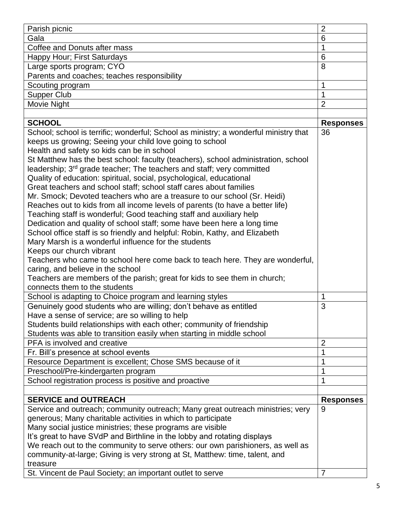| Parish picnic                                                                                                                                                                                                                                                                                                                                                                                                                                                                                                                                                                                                                                                                                                                                                                                                                                                                                                                                                                                                                                                                                                                 | $\overline{2}$   |
|-------------------------------------------------------------------------------------------------------------------------------------------------------------------------------------------------------------------------------------------------------------------------------------------------------------------------------------------------------------------------------------------------------------------------------------------------------------------------------------------------------------------------------------------------------------------------------------------------------------------------------------------------------------------------------------------------------------------------------------------------------------------------------------------------------------------------------------------------------------------------------------------------------------------------------------------------------------------------------------------------------------------------------------------------------------------------------------------------------------------------------|------------------|
| Gala                                                                                                                                                                                                                                                                                                                                                                                                                                                                                                                                                                                                                                                                                                                                                                                                                                                                                                                                                                                                                                                                                                                          | 6                |
| Coffee and Donuts after mass                                                                                                                                                                                                                                                                                                                                                                                                                                                                                                                                                                                                                                                                                                                                                                                                                                                                                                                                                                                                                                                                                                  | 1                |
| Happy Hour; First Saturdays                                                                                                                                                                                                                                                                                                                                                                                                                                                                                                                                                                                                                                                                                                                                                                                                                                                                                                                                                                                                                                                                                                   | 6                |
| Large sports program; CYO                                                                                                                                                                                                                                                                                                                                                                                                                                                                                                                                                                                                                                                                                                                                                                                                                                                                                                                                                                                                                                                                                                     | 8                |
| Parents and coaches; teaches responsibility                                                                                                                                                                                                                                                                                                                                                                                                                                                                                                                                                                                                                                                                                                                                                                                                                                                                                                                                                                                                                                                                                   |                  |
| Scouting program                                                                                                                                                                                                                                                                                                                                                                                                                                                                                                                                                                                                                                                                                                                                                                                                                                                                                                                                                                                                                                                                                                              | 1                |
| <b>Supper Club</b>                                                                                                                                                                                                                                                                                                                                                                                                                                                                                                                                                                                                                                                                                                                                                                                                                                                                                                                                                                                                                                                                                                            |                  |
| Movie Night                                                                                                                                                                                                                                                                                                                                                                                                                                                                                                                                                                                                                                                                                                                                                                                                                                                                                                                                                                                                                                                                                                                   | $\overline{2}$   |
|                                                                                                                                                                                                                                                                                                                                                                                                                                                                                                                                                                                                                                                                                                                                                                                                                                                                                                                                                                                                                                                                                                                               |                  |
| <b>SCHOOL</b>                                                                                                                                                                                                                                                                                                                                                                                                                                                                                                                                                                                                                                                                                                                                                                                                                                                                                                                                                                                                                                                                                                                 | <b>Responses</b> |
| School; school is terrific; wonderful; School as ministry; a wonderful ministry that<br>keeps us growing; Seeing your child love going to school<br>Health and safety so kids can be in school<br>St Matthew has the best school: faculty (teachers), school administration, school<br>leadership; 3 <sup>rd</sup> grade teacher; The teachers and staff; very committed<br>Quality of education: spiritual, social, psychological, educational<br>Great teachers and school staff; school staff cares about families<br>Mr. Smock; Devoted teachers who are a treasure to our school (Sr. Heidi)<br>Reaches out to kids from all income levels of parents (to have a better life)<br>Teaching staff is wonderful; Good teaching staff and auxiliary help<br>Dedication and quality of school staff; some have been here a long time<br>School office staff is so friendly and helpful: Robin, Kathy, and Elizabeth<br>Mary Marsh is a wonderful influence for the students<br>Keeps our church vibrant<br>Teachers who came to school here come back to teach here. They are wonderful,<br>caring, and believe in the school | 36               |
| Teachers are members of the parish; great for kids to see them in church;<br>connects them to the students                                                                                                                                                                                                                                                                                                                                                                                                                                                                                                                                                                                                                                                                                                                                                                                                                                                                                                                                                                                                                    |                  |
| School is adapting to Choice program and learning styles                                                                                                                                                                                                                                                                                                                                                                                                                                                                                                                                                                                                                                                                                                                                                                                                                                                                                                                                                                                                                                                                      | 1                |
| Genuinely good students who are willing; don't behave as entitled<br>Have a sense of service; are so willing to help<br>Students build relationships with each other; community of friendship<br>Students was able to transition easily when starting in middle school                                                                                                                                                                                                                                                                                                                                                                                                                                                                                                                                                                                                                                                                                                                                                                                                                                                        | 3                |
| PFA is involved and creative                                                                                                                                                                                                                                                                                                                                                                                                                                                                                                                                                                                                                                                                                                                                                                                                                                                                                                                                                                                                                                                                                                  | $\overline{2}$   |
| Fr. Bill's presence at school events                                                                                                                                                                                                                                                                                                                                                                                                                                                                                                                                                                                                                                                                                                                                                                                                                                                                                                                                                                                                                                                                                          | 1                |
| Resource Department is excellent; Chose SMS because of it                                                                                                                                                                                                                                                                                                                                                                                                                                                                                                                                                                                                                                                                                                                                                                                                                                                                                                                                                                                                                                                                     | 1                |
| Preschool/Pre-kindergarten program                                                                                                                                                                                                                                                                                                                                                                                                                                                                                                                                                                                                                                                                                                                                                                                                                                                                                                                                                                                                                                                                                            |                  |
| School registration process is positive and proactive                                                                                                                                                                                                                                                                                                                                                                                                                                                                                                                                                                                                                                                                                                                                                                                                                                                                                                                                                                                                                                                                         |                  |
|                                                                                                                                                                                                                                                                                                                                                                                                                                                                                                                                                                                                                                                                                                                                                                                                                                                                                                                                                                                                                                                                                                                               |                  |
| <b>SERVICE and OUTREACH</b>                                                                                                                                                                                                                                                                                                                                                                                                                                                                                                                                                                                                                                                                                                                                                                                                                                                                                                                                                                                                                                                                                                   | <b>Responses</b> |
| Service and outreach; community outreach; Many great outreach ministries; very<br>generous; Many charitable activities in which to participate<br>Many social justice ministries; these programs are visible<br>It's great to have SVdP and Birthline in the lobby and rotating displays<br>We reach out to the community to serve others: our own parishioners, as well as<br>community-at-large; Giving is very strong at St, Matthew: time, talent, and<br>treasure                                                                                                                                                                                                                                                                                                                                                                                                                                                                                                                                                                                                                                                        | 9                |
| St. Vincent de Paul Society; an important outlet to serve                                                                                                                                                                                                                                                                                                                                                                                                                                                                                                                                                                                                                                                                                                                                                                                                                                                                                                                                                                                                                                                                     | 7                |
|                                                                                                                                                                                                                                                                                                                                                                                                                                                                                                                                                                                                                                                                                                                                                                                                                                                                                                                                                                                                                                                                                                                               |                  |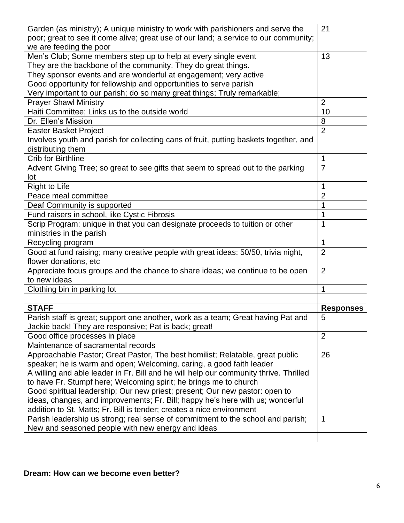| Garden (as ministry); A unique ministry to work with parishioners and serve the                                                      | 21               |
|--------------------------------------------------------------------------------------------------------------------------------------|------------------|
| poor; great to see it come alive; great use of our land; a service to our community;                                                 |                  |
| we are feeding the poor                                                                                                              |                  |
| Men's Club; Some members step up to help at every single event                                                                       | 13               |
| They are the backbone of the community. They do great things.                                                                        |                  |
| They sponsor events and are wonderful at engagement; very active                                                                     |                  |
| Good opportunity for fellowship and opportunities to serve parish                                                                    |                  |
| Very important to our parish; do so many great things; Truly remarkable;                                                             |                  |
| <b>Prayer Shawl Ministry</b>                                                                                                         | $\overline{2}$   |
| Haiti Committee; Links us to the outside world                                                                                       | 10               |
| Dr. Ellen's Mission                                                                                                                  | 8                |
| <b>Easter Basket Project</b>                                                                                                         | $\overline{2}$   |
| Involves youth and parish for collecting cans of fruit, putting baskets together, and                                                |                  |
| distributing them                                                                                                                    |                  |
| <b>Crib for Birthline</b>                                                                                                            | 1                |
| Advent Giving Tree; so great to see gifts that seem to spread out to the parking                                                     | $\overline{7}$   |
| lot                                                                                                                                  |                  |
| <b>Right to Life</b>                                                                                                                 |                  |
| Peace meal committee                                                                                                                 | $\overline{2}$   |
| Deaf Community is supported                                                                                                          |                  |
| Fund raisers in school, like Cystic Fibrosis                                                                                         |                  |
| Scrip Program: unique in that you can designate proceeds to tuition or other                                                         | 1                |
| ministries in the parish                                                                                                             |                  |
| Recycling program                                                                                                                    | 1                |
| Good at fund raising; many creative people with great ideas: 50/50, trivia night,                                                    | $\overline{2}$   |
| flower donations, etc                                                                                                                |                  |
| Appreciate focus groups and the chance to share ideas; we continue to be open                                                        | $\overline{2}$   |
| to new ideas                                                                                                                         |                  |
| Clothing bin in parking lot                                                                                                          | 1                |
|                                                                                                                                      |                  |
| <b>STAFF</b>                                                                                                                         | <b>Responses</b> |
| Parish staff is great; support one another, work as a team; Great having Pat and                                                     | 5                |
| Jackie back! They are responsive; Pat is back; great!                                                                                |                  |
| Good office processes in place                                                                                                       | $\overline{2}$   |
| Maintenance of sacramental records                                                                                                   |                  |
|                                                                                                                                      |                  |
|                                                                                                                                      | 26               |
| Approachable Pastor; Great Pastor, The best homilist; Relatable, great public                                                        |                  |
| speaker; he is warm and open; Welcoming, caring, a good faith leader                                                                 |                  |
| A willing and able leader in Fr. Bill and he will help our community thrive. Thrilled                                                |                  |
| to have Fr. Stumpf here; Welcoming spirit; he brings me to church                                                                    |                  |
| Good spiritual leadership; Our new priest; present; Our new pastor: open to                                                          |                  |
| ideas, changes, and improvements; Fr. Bill; happy he's here with us; wonderful                                                       |                  |
| addition to St. Matts; Fr. Bill is tender; creates a nice environment                                                                |                  |
| Parish leadership us strong; real sense of commitment to the school and parish;<br>New and seasoned people with new energy and ideas | 1                |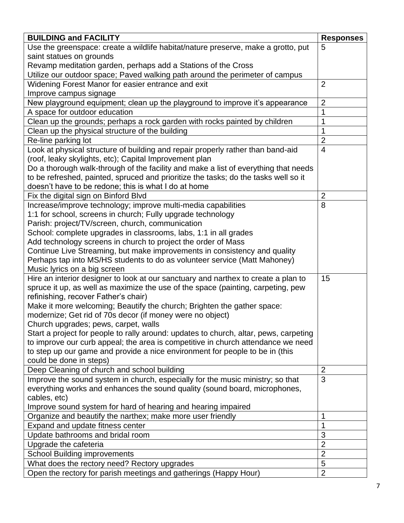| <b>BUILDING and FACILITY</b>                                                                                             | <b>Responses</b> |
|--------------------------------------------------------------------------------------------------------------------------|------------------|
| Use the greenspace: create a wildlife habitat/nature preserve, make a grotto, put                                        | 5                |
| saint statues on grounds                                                                                                 |                  |
| Revamp meditation garden, perhaps add a Stations of the Cross                                                            |                  |
| Utilize our outdoor space; Paved walking path around the perimeter of campus                                             |                  |
| Widening Forest Manor for easier entrance and exit                                                                       | $\overline{2}$   |
| Improve campus signage                                                                                                   |                  |
| New playground equipment; clean up the playground to improve it's appearance                                             | $\overline{2}$   |
| A space for outdoor education                                                                                            | 1                |
| Clean up the grounds; perhaps a rock garden with rocks painted by children                                               | 1                |
| Clean up the physical structure of the building                                                                          | 1                |
| Re-line parking lot                                                                                                      | $\overline{2}$   |
| Look at physical structure of building and repair properly rather than band-aid                                          | $\overline{4}$   |
| (roof, leaky skylights, etc); Capital Improvement plan                                                                   |                  |
| Do a thorough walk-through of the facility and make a list of everything that needs                                      |                  |
| to be refreshed, painted, spruced and prioritize the tasks; do the tasks well so it                                      |                  |
| doesn't have to be redone; this is what I do at home                                                                     |                  |
| Fix the digital sign on Binford Blvd                                                                                     | $\overline{2}$   |
| Increase/improve technology; improve multi-media capabilities                                                            | 8                |
| 1:1 for school, screens in church; Fully upgrade technology                                                              |                  |
| Parish: project/TV/screen, church, communication                                                                         |                  |
| School: complete upgrades in classrooms, labs, 1:1 in all grades                                                         |                  |
| Add technology screens in church to project the order of Mass                                                            |                  |
| Continue Live Streaming, but make improvements in consistency and quality                                                |                  |
| Perhaps tap into MS/HS students to do as volunteer service (Matt Mahoney)                                                |                  |
| Music lyrics on a big screen                                                                                             |                  |
| Hire an interior designer to look at our sanctuary and narthex to create a plan to                                       | 15               |
| spruce it up, as well as maximize the use of the space (painting, carpeting, pew<br>refinishing, recover Father's chair) |                  |
| Make it more welcoming; Beautify the church; Brighten the gather space:                                                  |                  |
| modernize; Get rid of 70s decor (if money were no object)                                                                |                  |
| Church upgrades; pews, carpet, walls                                                                                     |                  |
| Start a project for people to rally around: updates to church, altar, pews, carpeting                                    |                  |
| to improve our curb appeal; the area is competitive in church attendance we need                                         |                  |
| to step up our game and provide a nice environment for people to be in (this                                             |                  |
| could be done in steps)                                                                                                  |                  |
| Deep Cleaning of church and school building                                                                              | $\overline{2}$   |
| Improve the sound system in church, especially for the music ministry; so that                                           | 3                |
| everything works and enhances the sound quality (sound board, microphones,                                               |                  |
| cables, etc)                                                                                                             |                  |
| Improve sound system for hard of hearing and hearing impaired                                                            |                  |
| Organize and beautify the narthex; make more user friendly                                                               | 1                |
| Expand and update fitness center                                                                                         | 1                |
| Update bathrooms and bridal room                                                                                         | 3                |
| Upgrade the cafeteria                                                                                                    | $\overline{2}$   |
| <b>School Building improvements</b>                                                                                      | $\overline{2}$   |
| What does the rectory need? Rectory upgrades                                                                             | 5                |
| Open the rectory for parish meetings and gatherings (Happy Hour)                                                         | $\overline{2}$   |
|                                                                                                                          |                  |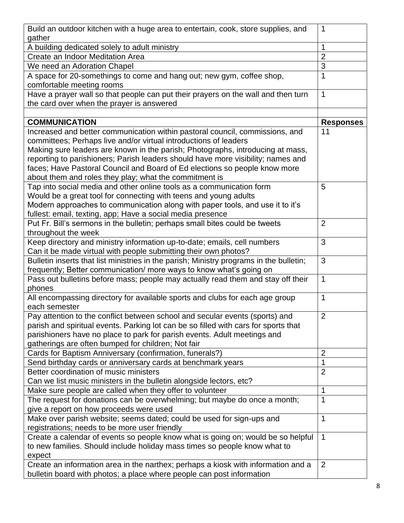| A building dedicated solely to adult ministry<br>1<br>$\overline{2}$<br>Create an Indoor Meditation Area<br>3<br>We need an Adoration Chapel<br>A space for 20-somethings to come and hang out; new gym, coffee shop,<br>1<br>comfortable meeting rooms<br>Have a prayer wall so that people can put their prayers on the wall and then turn<br>1<br>the card over when the prayer is answered<br><b>COMMUNICATION</b><br><b>Responses</b><br>Increased and better communication within pastoral council, commissions, and<br>11<br>committees; Perhaps live and/or virtual introductions of leaders<br>Making sure leaders are known in the parish; Photographs, introducing at mass,<br>reporting to parishioners; Parish leaders should have more visibility; names and<br>faces; Have Pastoral Council and Board of Ed elections so people know more<br>about them and roles they play; what the commitment is<br>Tap into social media and other online tools as a communication form<br>5<br>Would be a great tool for connecting with teens and young adults<br>Modern approaches to communication along with paper tools, and use it to it's<br>fullest: email, texting, app; Have a social media presence<br>Put Fr. Bill's sermons in the bulletin; perhaps small bites could be tweets<br>$\overline{2}$<br>throughout the week<br>Keep directory and ministry information up-to-date; emails, cell numbers<br>3<br>Can it be made virtual with people submitting their own photos?<br>3<br>Bulletin inserts that list ministries in the parish; Ministry programs in the bulletin;<br>frequently; Better communication/ more ways to know what's going on<br>Pass out bulletins before mass; people may actually read them and stay off their<br>1<br>phones<br>All encompassing directory for available sports and clubs for each age group<br>1<br>each semester<br>Pay attention to the conflict between school and secular events (sports) and<br>$\overline{2}$<br>parish and spiritual events. Parking lot can be so filled with cars for sports that<br>parishioners have no place to park for parish events. Adult meetings and<br>gatherings are often bumped for children; Not fair<br>$\overline{2}$<br>Cards for Baptism Anniversary (confirmation, funerals?)<br>1<br>Send birthday cards or anniversary cards at benchmark years<br>$\overline{2}$<br>Better coordination of music ministers<br>Can we list music ministers in the bulletin alongside lectors, etc?<br>Make sure people are called when they offer to volunteer<br>1<br>The request for donations can be overwhelming; but maybe do once a month;<br>1<br>give a report on how proceeds were used<br>1<br>Make over parish website; seems dated; could be used for sign-ups and<br>registrations; needs to be more user friendly<br>Create a calendar of events so people know what is going on; would be so helpful<br>1<br>to new families. Should include holiday mass times so people know what to<br>expect<br>Create an information area in the narthex; perhaps a kiosk with information and a<br>2 | Build an outdoor kitchen with a huge area to entertain, cook, store supplies, and | 1 |
|------------------------------------------------------------------------------------------------------------------------------------------------------------------------------------------------------------------------------------------------------------------------------------------------------------------------------------------------------------------------------------------------------------------------------------------------------------------------------------------------------------------------------------------------------------------------------------------------------------------------------------------------------------------------------------------------------------------------------------------------------------------------------------------------------------------------------------------------------------------------------------------------------------------------------------------------------------------------------------------------------------------------------------------------------------------------------------------------------------------------------------------------------------------------------------------------------------------------------------------------------------------------------------------------------------------------------------------------------------------------------------------------------------------------------------------------------------------------------------------------------------------------------------------------------------------------------------------------------------------------------------------------------------------------------------------------------------------------------------------------------------------------------------------------------------------------------------------------------------------------------------------------------------------------------------------------------------------------------------------------------------------------------------------------------------------------------------------------------------------------------------------------------------------------------------------------------------------------------------------------------------------------------------------------------------------------------------------------------------------------------------------------------------------------------------------------------------------------------------------------------------------------------------------------------------------------------------------------------------------------------------------------------------------------------------------------------------------------------------------------------------------------------------------------------------------------------------------------------------------------------------------------------------------------------------------------------------------------------------------------------------------------------------------------------------------------------------------------------|-----------------------------------------------------------------------------------|---|
|                                                                                                                                                                                                                                                                                                                                                                                                                                                                                                                                                                                                                                                                                                                                                                                                                                                                                                                                                                                                                                                                                                                                                                                                                                                                                                                                                                                                                                                                                                                                                                                                                                                                                                                                                                                                                                                                                                                                                                                                                                                                                                                                                                                                                                                                                                                                                                                                                                                                                                                                                                                                                                                                                                                                                                                                                                                                                                                                                                                                                                                                                                      | gather                                                                            |   |
|                                                                                                                                                                                                                                                                                                                                                                                                                                                                                                                                                                                                                                                                                                                                                                                                                                                                                                                                                                                                                                                                                                                                                                                                                                                                                                                                                                                                                                                                                                                                                                                                                                                                                                                                                                                                                                                                                                                                                                                                                                                                                                                                                                                                                                                                                                                                                                                                                                                                                                                                                                                                                                                                                                                                                                                                                                                                                                                                                                                                                                                                                                      |                                                                                   |   |
|                                                                                                                                                                                                                                                                                                                                                                                                                                                                                                                                                                                                                                                                                                                                                                                                                                                                                                                                                                                                                                                                                                                                                                                                                                                                                                                                                                                                                                                                                                                                                                                                                                                                                                                                                                                                                                                                                                                                                                                                                                                                                                                                                                                                                                                                                                                                                                                                                                                                                                                                                                                                                                                                                                                                                                                                                                                                                                                                                                                                                                                                                                      |                                                                                   |   |
|                                                                                                                                                                                                                                                                                                                                                                                                                                                                                                                                                                                                                                                                                                                                                                                                                                                                                                                                                                                                                                                                                                                                                                                                                                                                                                                                                                                                                                                                                                                                                                                                                                                                                                                                                                                                                                                                                                                                                                                                                                                                                                                                                                                                                                                                                                                                                                                                                                                                                                                                                                                                                                                                                                                                                                                                                                                                                                                                                                                                                                                                                                      |                                                                                   |   |
|                                                                                                                                                                                                                                                                                                                                                                                                                                                                                                                                                                                                                                                                                                                                                                                                                                                                                                                                                                                                                                                                                                                                                                                                                                                                                                                                                                                                                                                                                                                                                                                                                                                                                                                                                                                                                                                                                                                                                                                                                                                                                                                                                                                                                                                                                                                                                                                                                                                                                                                                                                                                                                                                                                                                                                                                                                                                                                                                                                                                                                                                                                      |                                                                                   |   |
|                                                                                                                                                                                                                                                                                                                                                                                                                                                                                                                                                                                                                                                                                                                                                                                                                                                                                                                                                                                                                                                                                                                                                                                                                                                                                                                                                                                                                                                                                                                                                                                                                                                                                                                                                                                                                                                                                                                                                                                                                                                                                                                                                                                                                                                                                                                                                                                                                                                                                                                                                                                                                                                                                                                                                                                                                                                                                                                                                                                                                                                                                                      |                                                                                   |   |
|                                                                                                                                                                                                                                                                                                                                                                                                                                                                                                                                                                                                                                                                                                                                                                                                                                                                                                                                                                                                                                                                                                                                                                                                                                                                                                                                                                                                                                                                                                                                                                                                                                                                                                                                                                                                                                                                                                                                                                                                                                                                                                                                                                                                                                                                                                                                                                                                                                                                                                                                                                                                                                                                                                                                                                                                                                                                                                                                                                                                                                                                                                      |                                                                                   |   |
|                                                                                                                                                                                                                                                                                                                                                                                                                                                                                                                                                                                                                                                                                                                                                                                                                                                                                                                                                                                                                                                                                                                                                                                                                                                                                                                                                                                                                                                                                                                                                                                                                                                                                                                                                                                                                                                                                                                                                                                                                                                                                                                                                                                                                                                                                                                                                                                                                                                                                                                                                                                                                                                                                                                                                                                                                                                                                                                                                                                                                                                                                                      |                                                                                   |   |
|                                                                                                                                                                                                                                                                                                                                                                                                                                                                                                                                                                                                                                                                                                                                                                                                                                                                                                                                                                                                                                                                                                                                                                                                                                                                                                                                                                                                                                                                                                                                                                                                                                                                                                                                                                                                                                                                                                                                                                                                                                                                                                                                                                                                                                                                                                                                                                                                                                                                                                                                                                                                                                                                                                                                                                                                                                                                                                                                                                                                                                                                                                      |                                                                                   |   |
|                                                                                                                                                                                                                                                                                                                                                                                                                                                                                                                                                                                                                                                                                                                                                                                                                                                                                                                                                                                                                                                                                                                                                                                                                                                                                                                                                                                                                                                                                                                                                                                                                                                                                                                                                                                                                                                                                                                                                                                                                                                                                                                                                                                                                                                                                                                                                                                                                                                                                                                                                                                                                                                                                                                                                                                                                                                                                                                                                                                                                                                                                                      |                                                                                   |   |
|                                                                                                                                                                                                                                                                                                                                                                                                                                                                                                                                                                                                                                                                                                                                                                                                                                                                                                                                                                                                                                                                                                                                                                                                                                                                                                                                                                                                                                                                                                                                                                                                                                                                                                                                                                                                                                                                                                                                                                                                                                                                                                                                                                                                                                                                                                                                                                                                                                                                                                                                                                                                                                                                                                                                                                                                                                                                                                                                                                                                                                                                                                      |                                                                                   |   |
|                                                                                                                                                                                                                                                                                                                                                                                                                                                                                                                                                                                                                                                                                                                                                                                                                                                                                                                                                                                                                                                                                                                                                                                                                                                                                                                                                                                                                                                                                                                                                                                                                                                                                                                                                                                                                                                                                                                                                                                                                                                                                                                                                                                                                                                                                                                                                                                                                                                                                                                                                                                                                                                                                                                                                                                                                                                                                                                                                                                                                                                                                                      |                                                                                   |   |
|                                                                                                                                                                                                                                                                                                                                                                                                                                                                                                                                                                                                                                                                                                                                                                                                                                                                                                                                                                                                                                                                                                                                                                                                                                                                                                                                                                                                                                                                                                                                                                                                                                                                                                                                                                                                                                                                                                                                                                                                                                                                                                                                                                                                                                                                                                                                                                                                                                                                                                                                                                                                                                                                                                                                                                                                                                                                                                                                                                                                                                                                                                      |                                                                                   |   |
|                                                                                                                                                                                                                                                                                                                                                                                                                                                                                                                                                                                                                                                                                                                                                                                                                                                                                                                                                                                                                                                                                                                                                                                                                                                                                                                                                                                                                                                                                                                                                                                                                                                                                                                                                                                                                                                                                                                                                                                                                                                                                                                                                                                                                                                                                                                                                                                                                                                                                                                                                                                                                                                                                                                                                                                                                                                                                                                                                                                                                                                                                                      |                                                                                   |   |
|                                                                                                                                                                                                                                                                                                                                                                                                                                                                                                                                                                                                                                                                                                                                                                                                                                                                                                                                                                                                                                                                                                                                                                                                                                                                                                                                                                                                                                                                                                                                                                                                                                                                                                                                                                                                                                                                                                                                                                                                                                                                                                                                                                                                                                                                                                                                                                                                                                                                                                                                                                                                                                                                                                                                                                                                                                                                                                                                                                                                                                                                                                      |                                                                                   |   |
|                                                                                                                                                                                                                                                                                                                                                                                                                                                                                                                                                                                                                                                                                                                                                                                                                                                                                                                                                                                                                                                                                                                                                                                                                                                                                                                                                                                                                                                                                                                                                                                                                                                                                                                                                                                                                                                                                                                                                                                                                                                                                                                                                                                                                                                                                                                                                                                                                                                                                                                                                                                                                                                                                                                                                                                                                                                                                                                                                                                                                                                                                                      |                                                                                   |   |
|                                                                                                                                                                                                                                                                                                                                                                                                                                                                                                                                                                                                                                                                                                                                                                                                                                                                                                                                                                                                                                                                                                                                                                                                                                                                                                                                                                                                                                                                                                                                                                                                                                                                                                                                                                                                                                                                                                                                                                                                                                                                                                                                                                                                                                                                                                                                                                                                                                                                                                                                                                                                                                                                                                                                                                                                                                                                                                                                                                                                                                                                                                      |                                                                                   |   |
|                                                                                                                                                                                                                                                                                                                                                                                                                                                                                                                                                                                                                                                                                                                                                                                                                                                                                                                                                                                                                                                                                                                                                                                                                                                                                                                                                                                                                                                                                                                                                                                                                                                                                                                                                                                                                                                                                                                                                                                                                                                                                                                                                                                                                                                                                                                                                                                                                                                                                                                                                                                                                                                                                                                                                                                                                                                                                                                                                                                                                                                                                                      |                                                                                   |   |
|                                                                                                                                                                                                                                                                                                                                                                                                                                                                                                                                                                                                                                                                                                                                                                                                                                                                                                                                                                                                                                                                                                                                                                                                                                                                                                                                                                                                                                                                                                                                                                                                                                                                                                                                                                                                                                                                                                                                                                                                                                                                                                                                                                                                                                                                                                                                                                                                                                                                                                                                                                                                                                                                                                                                                                                                                                                                                                                                                                                                                                                                                                      |                                                                                   |   |
|                                                                                                                                                                                                                                                                                                                                                                                                                                                                                                                                                                                                                                                                                                                                                                                                                                                                                                                                                                                                                                                                                                                                                                                                                                                                                                                                                                                                                                                                                                                                                                                                                                                                                                                                                                                                                                                                                                                                                                                                                                                                                                                                                                                                                                                                                                                                                                                                                                                                                                                                                                                                                                                                                                                                                                                                                                                                                                                                                                                                                                                                                                      |                                                                                   |   |
|                                                                                                                                                                                                                                                                                                                                                                                                                                                                                                                                                                                                                                                                                                                                                                                                                                                                                                                                                                                                                                                                                                                                                                                                                                                                                                                                                                                                                                                                                                                                                                                                                                                                                                                                                                                                                                                                                                                                                                                                                                                                                                                                                                                                                                                                                                                                                                                                                                                                                                                                                                                                                                                                                                                                                                                                                                                                                                                                                                                                                                                                                                      |                                                                                   |   |
|                                                                                                                                                                                                                                                                                                                                                                                                                                                                                                                                                                                                                                                                                                                                                                                                                                                                                                                                                                                                                                                                                                                                                                                                                                                                                                                                                                                                                                                                                                                                                                                                                                                                                                                                                                                                                                                                                                                                                                                                                                                                                                                                                                                                                                                                                                                                                                                                                                                                                                                                                                                                                                                                                                                                                                                                                                                                                                                                                                                                                                                                                                      |                                                                                   |   |
|                                                                                                                                                                                                                                                                                                                                                                                                                                                                                                                                                                                                                                                                                                                                                                                                                                                                                                                                                                                                                                                                                                                                                                                                                                                                                                                                                                                                                                                                                                                                                                                                                                                                                                                                                                                                                                                                                                                                                                                                                                                                                                                                                                                                                                                                                                                                                                                                                                                                                                                                                                                                                                                                                                                                                                                                                                                                                                                                                                                                                                                                                                      |                                                                                   |   |
|                                                                                                                                                                                                                                                                                                                                                                                                                                                                                                                                                                                                                                                                                                                                                                                                                                                                                                                                                                                                                                                                                                                                                                                                                                                                                                                                                                                                                                                                                                                                                                                                                                                                                                                                                                                                                                                                                                                                                                                                                                                                                                                                                                                                                                                                                                                                                                                                                                                                                                                                                                                                                                                                                                                                                                                                                                                                                                                                                                                                                                                                                                      |                                                                                   |   |
|                                                                                                                                                                                                                                                                                                                                                                                                                                                                                                                                                                                                                                                                                                                                                                                                                                                                                                                                                                                                                                                                                                                                                                                                                                                                                                                                                                                                                                                                                                                                                                                                                                                                                                                                                                                                                                                                                                                                                                                                                                                                                                                                                                                                                                                                                                                                                                                                                                                                                                                                                                                                                                                                                                                                                                                                                                                                                                                                                                                                                                                                                                      |                                                                                   |   |
|                                                                                                                                                                                                                                                                                                                                                                                                                                                                                                                                                                                                                                                                                                                                                                                                                                                                                                                                                                                                                                                                                                                                                                                                                                                                                                                                                                                                                                                                                                                                                                                                                                                                                                                                                                                                                                                                                                                                                                                                                                                                                                                                                                                                                                                                                                                                                                                                                                                                                                                                                                                                                                                                                                                                                                                                                                                                                                                                                                                                                                                                                                      |                                                                                   |   |
|                                                                                                                                                                                                                                                                                                                                                                                                                                                                                                                                                                                                                                                                                                                                                                                                                                                                                                                                                                                                                                                                                                                                                                                                                                                                                                                                                                                                                                                                                                                                                                                                                                                                                                                                                                                                                                                                                                                                                                                                                                                                                                                                                                                                                                                                                                                                                                                                                                                                                                                                                                                                                                                                                                                                                                                                                                                                                                                                                                                                                                                                                                      |                                                                                   |   |
|                                                                                                                                                                                                                                                                                                                                                                                                                                                                                                                                                                                                                                                                                                                                                                                                                                                                                                                                                                                                                                                                                                                                                                                                                                                                                                                                                                                                                                                                                                                                                                                                                                                                                                                                                                                                                                                                                                                                                                                                                                                                                                                                                                                                                                                                                                                                                                                                                                                                                                                                                                                                                                                                                                                                                                                                                                                                                                                                                                                                                                                                                                      |                                                                                   |   |
|                                                                                                                                                                                                                                                                                                                                                                                                                                                                                                                                                                                                                                                                                                                                                                                                                                                                                                                                                                                                                                                                                                                                                                                                                                                                                                                                                                                                                                                                                                                                                                                                                                                                                                                                                                                                                                                                                                                                                                                                                                                                                                                                                                                                                                                                                                                                                                                                                                                                                                                                                                                                                                                                                                                                                                                                                                                                                                                                                                                                                                                                                                      |                                                                                   |   |
|                                                                                                                                                                                                                                                                                                                                                                                                                                                                                                                                                                                                                                                                                                                                                                                                                                                                                                                                                                                                                                                                                                                                                                                                                                                                                                                                                                                                                                                                                                                                                                                                                                                                                                                                                                                                                                                                                                                                                                                                                                                                                                                                                                                                                                                                                                                                                                                                                                                                                                                                                                                                                                                                                                                                                                                                                                                                                                                                                                                                                                                                                                      |                                                                                   |   |
|                                                                                                                                                                                                                                                                                                                                                                                                                                                                                                                                                                                                                                                                                                                                                                                                                                                                                                                                                                                                                                                                                                                                                                                                                                                                                                                                                                                                                                                                                                                                                                                                                                                                                                                                                                                                                                                                                                                                                                                                                                                                                                                                                                                                                                                                                                                                                                                                                                                                                                                                                                                                                                                                                                                                                                                                                                                                                                                                                                                                                                                                                                      |                                                                                   |   |
|                                                                                                                                                                                                                                                                                                                                                                                                                                                                                                                                                                                                                                                                                                                                                                                                                                                                                                                                                                                                                                                                                                                                                                                                                                                                                                                                                                                                                                                                                                                                                                                                                                                                                                                                                                                                                                                                                                                                                                                                                                                                                                                                                                                                                                                                                                                                                                                                                                                                                                                                                                                                                                                                                                                                                                                                                                                                                                                                                                                                                                                                                                      |                                                                                   |   |
|                                                                                                                                                                                                                                                                                                                                                                                                                                                                                                                                                                                                                                                                                                                                                                                                                                                                                                                                                                                                                                                                                                                                                                                                                                                                                                                                                                                                                                                                                                                                                                                                                                                                                                                                                                                                                                                                                                                                                                                                                                                                                                                                                                                                                                                                                                                                                                                                                                                                                                                                                                                                                                                                                                                                                                                                                                                                                                                                                                                                                                                                                                      |                                                                                   |   |
|                                                                                                                                                                                                                                                                                                                                                                                                                                                                                                                                                                                                                                                                                                                                                                                                                                                                                                                                                                                                                                                                                                                                                                                                                                                                                                                                                                                                                                                                                                                                                                                                                                                                                                                                                                                                                                                                                                                                                                                                                                                                                                                                                                                                                                                                                                                                                                                                                                                                                                                                                                                                                                                                                                                                                                                                                                                                                                                                                                                                                                                                                                      |                                                                                   |   |
|                                                                                                                                                                                                                                                                                                                                                                                                                                                                                                                                                                                                                                                                                                                                                                                                                                                                                                                                                                                                                                                                                                                                                                                                                                                                                                                                                                                                                                                                                                                                                                                                                                                                                                                                                                                                                                                                                                                                                                                                                                                                                                                                                                                                                                                                                                                                                                                                                                                                                                                                                                                                                                                                                                                                                                                                                                                                                                                                                                                                                                                                                                      |                                                                                   |   |
|                                                                                                                                                                                                                                                                                                                                                                                                                                                                                                                                                                                                                                                                                                                                                                                                                                                                                                                                                                                                                                                                                                                                                                                                                                                                                                                                                                                                                                                                                                                                                                                                                                                                                                                                                                                                                                                                                                                                                                                                                                                                                                                                                                                                                                                                                                                                                                                                                                                                                                                                                                                                                                                                                                                                                                                                                                                                                                                                                                                                                                                                                                      |                                                                                   |   |
|                                                                                                                                                                                                                                                                                                                                                                                                                                                                                                                                                                                                                                                                                                                                                                                                                                                                                                                                                                                                                                                                                                                                                                                                                                                                                                                                                                                                                                                                                                                                                                                                                                                                                                                                                                                                                                                                                                                                                                                                                                                                                                                                                                                                                                                                                                                                                                                                                                                                                                                                                                                                                                                                                                                                                                                                                                                                                                                                                                                                                                                                                                      |                                                                                   |   |
|                                                                                                                                                                                                                                                                                                                                                                                                                                                                                                                                                                                                                                                                                                                                                                                                                                                                                                                                                                                                                                                                                                                                                                                                                                                                                                                                                                                                                                                                                                                                                                                                                                                                                                                                                                                                                                                                                                                                                                                                                                                                                                                                                                                                                                                                                                                                                                                                                                                                                                                                                                                                                                                                                                                                                                                                                                                                                                                                                                                                                                                                                                      |                                                                                   |   |
|                                                                                                                                                                                                                                                                                                                                                                                                                                                                                                                                                                                                                                                                                                                                                                                                                                                                                                                                                                                                                                                                                                                                                                                                                                                                                                                                                                                                                                                                                                                                                                                                                                                                                                                                                                                                                                                                                                                                                                                                                                                                                                                                                                                                                                                                                                                                                                                                                                                                                                                                                                                                                                                                                                                                                                                                                                                                                                                                                                                                                                                                                                      |                                                                                   |   |
|                                                                                                                                                                                                                                                                                                                                                                                                                                                                                                                                                                                                                                                                                                                                                                                                                                                                                                                                                                                                                                                                                                                                                                                                                                                                                                                                                                                                                                                                                                                                                                                                                                                                                                                                                                                                                                                                                                                                                                                                                                                                                                                                                                                                                                                                                                                                                                                                                                                                                                                                                                                                                                                                                                                                                                                                                                                                                                                                                                                                                                                                                                      |                                                                                   |   |
|                                                                                                                                                                                                                                                                                                                                                                                                                                                                                                                                                                                                                                                                                                                                                                                                                                                                                                                                                                                                                                                                                                                                                                                                                                                                                                                                                                                                                                                                                                                                                                                                                                                                                                                                                                                                                                                                                                                                                                                                                                                                                                                                                                                                                                                                                                                                                                                                                                                                                                                                                                                                                                                                                                                                                                                                                                                                                                                                                                                                                                                                                                      |                                                                                   |   |
|                                                                                                                                                                                                                                                                                                                                                                                                                                                                                                                                                                                                                                                                                                                                                                                                                                                                                                                                                                                                                                                                                                                                                                                                                                                                                                                                                                                                                                                                                                                                                                                                                                                                                                                                                                                                                                                                                                                                                                                                                                                                                                                                                                                                                                                                                                                                                                                                                                                                                                                                                                                                                                                                                                                                                                                                                                                                                                                                                                                                                                                                                                      |                                                                                   |   |
|                                                                                                                                                                                                                                                                                                                                                                                                                                                                                                                                                                                                                                                                                                                                                                                                                                                                                                                                                                                                                                                                                                                                                                                                                                                                                                                                                                                                                                                                                                                                                                                                                                                                                                                                                                                                                                                                                                                                                                                                                                                                                                                                                                                                                                                                                                                                                                                                                                                                                                                                                                                                                                                                                                                                                                                                                                                                                                                                                                                                                                                                                                      |                                                                                   |   |
|                                                                                                                                                                                                                                                                                                                                                                                                                                                                                                                                                                                                                                                                                                                                                                                                                                                                                                                                                                                                                                                                                                                                                                                                                                                                                                                                                                                                                                                                                                                                                                                                                                                                                                                                                                                                                                                                                                                                                                                                                                                                                                                                                                                                                                                                                                                                                                                                                                                                                                                                                                                                                                                                                                                                                                                                                                                                                                                                                                                                                                                                                                      |                                                                                   |   |
|                                                                                                                                                                                                                                                                                                                                                                                                                                                                                                                                                                                                                                                                                                                                                                                                                                                                                                                                                                                                                                                                                                                                                                                                                                                                                                                                                                                                                                                                                                                                                                                                                                                                                                                                                                                                                                                                                                                                                                                                                                                                                                                                                                                                                                                                                                                                                                                                                                                                                                                                                                                                                                                                                                                                                                                                                                                                                                                                                                                                                                                                                                      |                                                                                   |   |
|                                                                                                                                                                                                                                                                                                                                                                                                                                                                                                                                                                                                                                                                                                                                                                                                                                                                                                                                                                                                                                                                                                                                                                                                                                                                                                                                                                                                                                                                                                                                                                                                                                                                                                                                                                                                                                                                                                                                                                                                                                                                                                                                                                                                                                                                                                                                                                                                                                                                                                                                                                                                                                                                                                                                                                                                                                                                                                                                                                                                                                                                                                      |                                                                                   |   |
|                                                                                                                                                                                                                                                                                                                                                                                                                                                                                                                                                                                                                                                                                                                                                                                                                                                                                                                                                                                                                                                                                                                                                                                                                                                                                                                                                                                                                                                                                                                                                                                                                                                                                                                                                                                                                                                                                                                                                                                                                                                                                                                                                                                                                                                                                                                                                                                                                                                                                                                                                                                                                                                                                                                                                                                                                                                                                                                                                                                                                                                                                                      | bulletin board with photos; a place where people can post information             |   |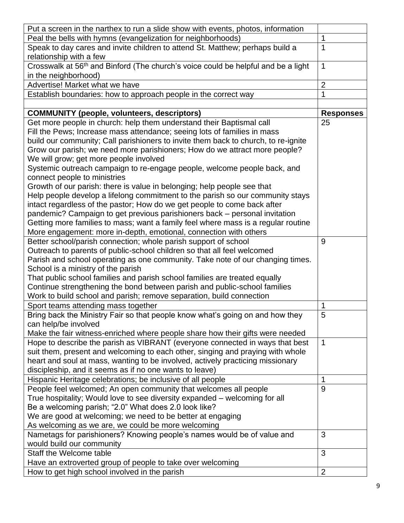| Put a screen in the narthex to run a slide show with events, photos, information                                      |                  |
|-----------------------------------------------------------------------------------------------------------------------|------------------|
| Peal the bells with hymns (evangelization for neighborhoods)                                                          | 1                |
| Speak to day cares and invite children to attend St. Matthew; perhaps build a<br>relationship with a few              | 1                |
| Crosswalk at 56 <sup>th</sup> and Binford (The church's voice could be helpful and be a light<br>in the neighborhood) | 1                |
| Advertise! Market what we have                                                                                        | $\overline{2}$   |
| Establish boundaries: how to approach people in the correct way                                                       | 1                |
|                                                                                                                       |                  |
| <b>COMMUNITY (people, volunteers, descriptors)</b>                                                                    | <b>Responses</b> |
| Get more people in church: help them understand their Baptismal call                                                  | 25               |
| Fill the Pews; Increase mass attendance; seeing lots of families in mass                                              |                  |
| build our community; Call parishioners to invite them back to church, to re-ignite                                    |                  |
| Grow our parish; we need more parishioners; How do we attract more people?                                            |                  |
| We will grow; get more people involved                                                                                |                  |
| Systemic outreach campaign to re-engage people, welcome people back, and                                              |                  |
| connect people to ministries                                                                                          |                  |
| Growth of our parish: there is value in belonging; help people see that                                               |                  |
| Help people develop a lifelong commitment to the parish so our community stays                                        |                  |
| intact regardless of the pastor; How do we get people to come back after                                              |                  |
| pandemic? Campaign to get previous parishioners back - personal invitation                                            |                  |
| Getting more families to mass; want a family feel where mass is a regular routine                                     |                  |
| More engagement: more in-depth, emotional, connection with others                                                     |                  |
| Better school/parish connection; whole parish support of school                                                       | 9                |
| Outreach to parents of public-school children so that all feel welcomed                                               |                  |
| Parish and school operating as one community. Take note of our changing times.                                        |                  |
| School is a ministry of the parish                                                                                    |                  |
| That public school families and parish school families are treated equally                                            |                  |
| Continue strengthening the bond between parish and public-school families                                             |                  |
| Work to build school and parish; remove separation, build connection                                                  |                  |
| Sport teams attending mass together                                                                                   | 1                |
| Bring back the Ministry Fair so that people know what's going on and how they                                         | 5                |
| can help/be involved                                                                                                  |                  |
| Make the fair witness-enriched where people share how their gifts were needed                                         |                  |
| Hope to describe the parish as VIBRANT (everyone connected in ways that best                                          | 1                |
| suit them, present and welcoming to each other, singing and praying with whole                                        |                  |
| heart and soul at mass, wanting to be involved, actively practicing missionary                                        |                  |
| discipleship, and it seems as if no one wants to leave)                                                               |                  |
| Hispanic Heritage celebrations; be inclusive of all people                                                            | 1                |
| People feel welcomed; An open community that welcomes all people                                                      | 9                |
| True hospitality; Would love to see diversity expanded - welcoming for all                                            |                  |
| Be a welcoming parish; "2.0" What does 2.0 look like?                                                                 |                  |
| We are good at welcoming; we need to be better at engaging                                                            |                  |
| As welcoming as we are, we could be more welcoming                                                                    |                  |
| Nametags for parishioners? Knowing people's names would be of value and                                               | 3                |
| would build our community                                                                                             |                  |
| Staff the Welcome table                                                                                               | 3                |
| Have an extroverted group of people to take over welcoming                                                            |                  |
| How to get high school involved in the parish                                                                         | $\overline{2}$   |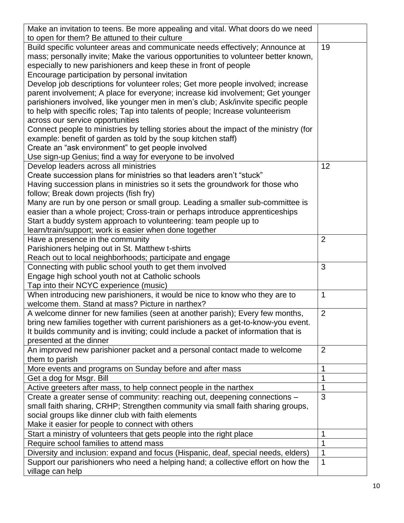| Make an invitation to teens. Be more appealing and vital. What doors do we need       |                |
|---------------------------------------------------------------------------------------|----------------|
| to open for them? Be attuned to their culture                                         |                |
| Build specific volunteer areas and communicate needs effectively; Announce at         | 19             |
| mass; personally invite; Make the various opportunities to volunteer better known,    |                |
| especially to new parishioners and keep these in front of people                      |                |
| Encourage participation by personal invitation                                        |                |
| Develop job descriptions for volunteer roles; Get more people involved; increase      |                |
| parent involvement; A place for everyone; increase kid involvement; Get younger       |                |
| parishioners involved, like younger men in men's club; Ask/invite specific people     |                |
| to help with specific roles; Tap into talents of people; Increase volunteerism        |                |
| across our service opportunities                                                      |                |
| Connect people to ministries by telling stories about the impact of the ministry (for |                |
| example: benefit of garden as told by the soup kitchen staff)                         |                |
| Create an "ask environment" to get people involved                                    |                |
| Use sign-up Genius; find a way for everyone to be involved                            |                |
| Develop leaders across all ministries                                                 | 12             |
| Create succession plans for ministries so that leaders aren't "stuck"                 |                |
| Having succession plans in ministries so it sets the groundwork for those who         |                |
| follow; Break down projects (fish fry)                                                |                |
| Many are run by one person or small group. Leading a smaller sub-committee is         |                |
| easier than a whole project; Cross-train or perhaps introduce apprenticeships         |                |
| Start a buddy system approach to volunteering: team people up to                      |                |
| learn/train/support; work is easier when done together                                |                |
| Have a presence in the community                                                      | $\overline{2}$ |
| Parishioners helping out in St. Matthew t-shirts                                      |                |
| Reach out to local neighborhoods; participate and engage                              |                |
| Connecting with public school youth to get them involved                              | 3              |
| Engage high school youth not at Catholic schools                                      |                |
| Tap into their NCYC experience (music)                                                |                |
| When introducing new parishioners, it would be nice to know who they are to           | $\mathbf 1$    |
| welcome them. Stand at mass? Picture in narthex?                                      |                |
| A welcome dinner for new families (seen at another parish); Every few months,         | $\overline{2}$ |
| bring new families together with current parishioners as a get-to-know-you event.     |                |
| It builds community and is inviting; could include a packet of information that is    |                |
| presented at the dinner                                                               |                |
| An improved new parishioner packet and a personal contact made to welcome             | $\overline{2}$ |
| them to parish                                                                        |                |
| More events and programs on Sunday before and after mass                              | 1              |
| Get a dog for Msgr. Bill                                                              | 1              |
| Active greeters after mass, to help connect people in the narthex                     | 1              |
| Create a greater sense of community: reaching out, deepening connections -            | 3              |
| small faith sharing, CRHP; Strengthen community via small faith sharing groups,       |                |
| social groups like dinner club with faith elements                                    |                |
| Make it easier for people to connect with others                                      |                |
| Start a ministry of volunteers that gets people into the right place                  | 1              |
| Require school families to attend mass                                                | 1              |
| Diversity and inclusion: expand and focus (Hispanic, deaf, special needs, elders)     | $\mathbf 1$    |
| Support our parishioners who need a helping hand; a collective effort on how the      | $\mathbf 1$    |
| village can help                                                                      |                |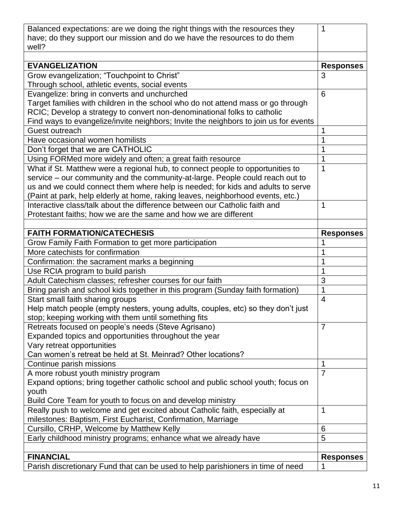| Balanced expectations: are we doing the right things with the resources they<br>have; do they support our mission and do we have the resources to do them          | 1                |
|--------------------------------------------------------------------------------------------------------------------------------------------------------------------|------------------|
| well?                                                                                                                                                              |                  |
| <b>EVANGELIZATION</b>                                                                                                                                              | <b>Responses</b> |
| Grow evangelization; "Touchpoint to Christ"                                                                                                                        | 3                |
| Through school, athletic events, social events                                                                                                                     |                  |
| Evangelize: bring in converts and unchurched                                                                                                                       | 6                |
| Target families with children in the school who do not attend mass or go through                                                                                   |                  |
| RCIC; Develop a strategy to convert non-denominational folks to catholic                                                                                           |                  |
| Find ways to evangelize/invite neighbors; Invite the neighbors to join us for events                                                                               |                  |
| Guest outreach                                                                                                                                                     |                  |
| Have occasional women homilists                                                                                                                                    | 1                |
| Don't forget that we are CATHOLIC                                                                                                                                  | 1                |
| Using FORMed more widely and often; a great faith resource                                                                                                         | 1                |
| What if St. Matthew were a regional hub, to connect people to opportunities to                                                                                     | 1                |
| service – our community and the community-at-large. People could reach out to                                                                                      |                  |
| us and we could connect them where help is needed; for kids and adults to serve<br>(Paint at park, help elderly at home, raking leaves, neighborhood events, etc.) |                  |
| Interactive class/talk about the difference between our Catholic faith and                                                                                         | 1                |
| Protestant faiths; how we are the same and how we are different                                                                                                    |                  |
|                                                                                                                                                                    |                  |
| <b>FAITH FORMATION/CATECHESIS</b>                                                                                                                                  | <b>Responses</b> |
| Grow Family Faith Formation to get more participation                                                                                                              | 1                |
| More catechists for confirmation                                                                                                                                   |                  |
| Confirmation: the sacrament marks a beginning                                                                                                                      | 1                |
| Use RCIA program to build parish                                                                                                                                   | 1                |
| Adult Catechism classes; refresher courses for our faith                                                                                                           | 3                |
| Bring parish and school kids together in this program (Sunday faith formation)                                                                                     | 1                |
| Start small faith sharing groups                                                                                                                                   | $\overline{4}$   |
| Help match people (empty nesters, young adults, couples, etc) so they don't just                                                                                   |                  |
| stop; keeping working with them until something fits                                                                                                               |                  |
| Retreats focused on people's needs (Steve Agrisano)                                                                                                                | $\overline{7}$   |
| Expanded topics and opportunities throughout the year                                                                                                              |                  |
| Vary retreat opportunities<br>Can women's retreat be held at St. Meinrad? Other locations?                                                                         |                  |
| Continue parish missions                                                                                                                                           | 1                |
| A more robust youth ministry program                                                                                                                               | $\overline{7}$   |
| Expand options; bring together catholic school and public school youth; focus on                                                                                   |                  |
| youth                                                                                                                                                              |                  |
| Build Core Team for youth to focus on and develop ministry                                                                                                         |                  |
| Really push to welcome and get excited about Catholic faith, especially at                                                                                         | $\mathbf 1$      |
| milestones: Baptism, First Eucharist, Confirmation, Marriage                                                                                                       |                  |
| Cursillo, CRHP, Welcome by Matthew Kelly                                                                                                                           | 6                |
| Early childhood ministry programs; enhance what we already have                                                                                                    | 5                |
|                                                                                                                                                                    |                  |
| <b>FINANCIAL</b>                                                                                                                                                   |                  |
| Parish discretionary Fund that can be used to help parishioners in time of need                                                                                    | <b>Responses</b> |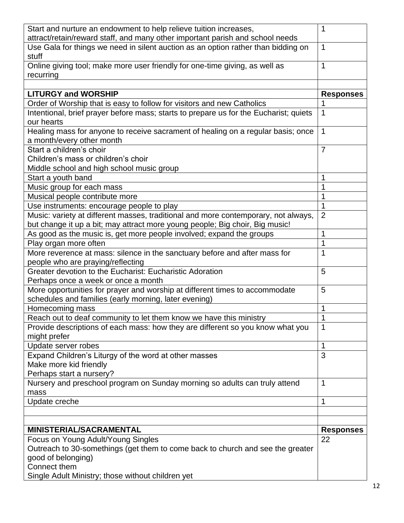| Start and nurture an endowment to help relieve tuition increases,                                                                                                  | 1                |
|--------------------------------------------------------------------------------------------------------------------------------------------------------------------|------------------|
| attract/retain/reward staff, and many other important parish and school needs                                                                                      |                  |
| Use Gala for things we need in silent auction as an option rather than bidding on<br>stuff                                                                         | 1                |
| Online giving tool; make more user friendly for one-time giving, as well as<br>recurring                                                                           | $\mathbf 1$      |
|                                                                                                                                                                    |                  |
| <b>LITURGY and WORSHIP</b>                                                                                                                                         | <b>Responses</b> |
| Order of Worship that is easy to follow for visitors and new Catholics                                                                                             |                  |
| Intentional, brief prayer before mass; starts to prepare us for the Eucharist; quiets                                                                              | 1                |
| our hearts                                                                                                                                                         |                  |
| Healing mass for anyone to receive sacrament of healing on a regular basis; once                                                                                   | 1                |
| a month/every other month                                                                                                                                          |                  |
| Start a children's choir                                                                                                                                           | $\overline{7}$   |
| Children's mass or children's choir                                                                                                                                |                  |
| Middle school and high school music group                                                                                                                          |                  |
| Start a youth band                                                                                                                                                 | 1                |
| Music group for each mass                                                                                                                                          |                  |
| Musical people contribute more                                                                                                                                     | 1                |
| Use instruments: encourage people to play                                                                                                                          | 1                |
| Music: variety at different masses, traditional and more contemporary, not always,<br>but change it up a bit; may attract more young people; Big choir, Big music! | $\overline{2}$   |
| As good as the music is, get more people involved; expand the groups                                                                                               | 1                |
| Play organ more often                                                                                                                                              | 1                |
| More reverence at mass: silence in the sanctuary before and after mass for<br>people who are praying/reflecting                                                    | 1                |
| Greater devotion to the Eucharist: Eucharistic Adoration                                                                                                           | 5                |
| Perhaps once a week or once a month                                                                                                                                |                  |
| More opportunities for prayer and worship at different times to accommodate                                                                                        | 5                |
| schedules and families (early morning, later evening)                                                                                                              |                  |
| Homecoming mass                                                                                                                                                    | 1                |
| Reach out to deaf community to let them know we have this ministry                                                                                                 | 1                |
| Provide descriptions of each mass: how they are different so you know what you<br>might prefer                                                                     | 1                |
| Update server robes                                                                                                                                                | 1                |
| Expand Children's Liturgy of the word at other masses                                                                                                              | 3                |
| Make more kid friendly                                                                                                                                             |                  |
| Perhaps start a nursery?                                                                                                                                           |                  |
| Nursery and preschool program on Sunday morning so adults can truly attend                                                                                         | 1                |
| mass                                                                                                                                                               |                  |
| Update creche                                                                                                                                                      | 1                |
|                                                                                                                                                                    |                  |
|                                                                                                                                                                    |                  |
| MINISTERIAL/SACRAMENTAL                                                                                                                                            | <b>Responses</b> |
| Focus on Young Adult/Young Singles                                                                                                                                 | 22               |
| Outreach to 30-somethings (get them to come back to church and see the greater                                                                                     |                  |
| good of belonging)                                                                                                                                                 |                  |
| Connect them                                                                                                                                                       |                  |
| Single Adult Ministry; those without children yet                                                                                                                  |                  |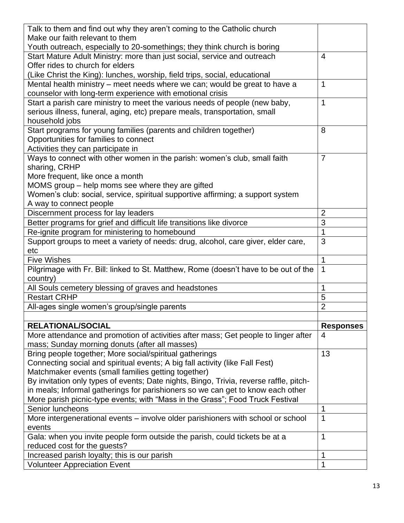| Talk to them and find out why they aren't coming to the Catholic church                |                  |
|----------------------------------------------------------------------------------------|------------------|
| Make our faith relevant to them                                                        |                  |
| Youth outreach, especially to 20-somethings; they think church is boring               |                  |
| Start Mature Adult Ministry: more than just social, service and outreach               | $\overline{4}$   |
| Offer rides to church for elders                                                       |                  |
| (Like Christ the King): lunches, worship, field trips, social, educational             |                  |
| Mental health ministry – meet needs where we can; would be great to have a             | $\mathbf 1$      |
| counselor with long-term experience with emotional crisis                              |                  |
| Start a parish care ministry to meet the various needs of people (new baby,            | $\mathbf 1$      |
| serious illness, funeral, aging, etc) prepare meals, transportation, small             |                  |
| household jobs                                                                         |                  |
| Start programs for young families (parents and children together)                      | 8                |
| Opportunities for families to connect                                                  |                  |
| Activities they can participate in                                                     |                  |
| Ways to connect with other women in the parish: women's club, small faith              | $\overline{7}$   |
| sharing, CRHP                                                                          |                  |
| More frequent, like once a month                                                       |                  |
| MOMS group - help moms see where they are gifted                                       |                  |
| Women's club: social, service, spiritual supportive affirming; a support system        |                  |
| A way to connect people                                                                |                  |
| Discernment process for lay leaders                                                    | $\overline{2}$   |
| Better programs for grief and difficult life transitions like divorce                  | 3                |
| Re-ignite program for ministering to homebound                                         | $\mathbf 1$      |
| Support groups to meet a variety of needs: drug, alcohol, care giver, elder care,      | 3                |
| etc                                                                                    |                  |
| <b>Five Wishes</b>                                                                     | 1                |
| Pilgrimage with Fr. Bill: linked to St. Matthew, Rome (doesn't have to be out of the   | $\mathbf 1$      |
| country)                                                                               |                  |
| All Souls cemetery blessing of graves and headstones                                   | 1                |
| <b>Restart CRHP</b>                                                                    | 5                |
| All-ages single women's group/single parents                                           | $\overline{2}$   |
|                                                                                        |                  |
| <b>RELATIONAL/SOCIAL</b>                                                               | <b>Responses</b> |
| More attendance and promotion of activities after mass; Get people to linger after     | 4                |
| mass; Sunday morning donuts (after all masses)                                         |                  |
| Bring people together; More social/spiritual gatherings                                | 13               |
| Connecting social and spiritual events; A big fall activity (like Fall Fest)           |                  |
| Matchmaker events (small families getting together)                                    |                  |
| By invitation only types of events; Date nights, Bingo, Trivia, reverse raffle, pitch- |                  |
| in meals; Informal gatherings for parishioners so we can get to know each other        |                  |
| More parish picnic-type events; with "Mass in the Grass"; Food Truck Festival          |                  |
| Senior luncheons                                                                       | 1                |
| More intergenerational events – involve older parishioners with school or school       | $\mathbf 1$      |
| events                                                                                 |                  |
| Gala: when you invite people form outside the parish, could tickets be at a            | $\mathbf 1$      |
| reduced cost for the guests?                                                           |                  |
|                                                                                        |                  |
| Increased parish loyalty; this is our parish                                           | $\mathbf 1$      |
| <b>Volunteer Appreciation Event</b>                                                    | 1                |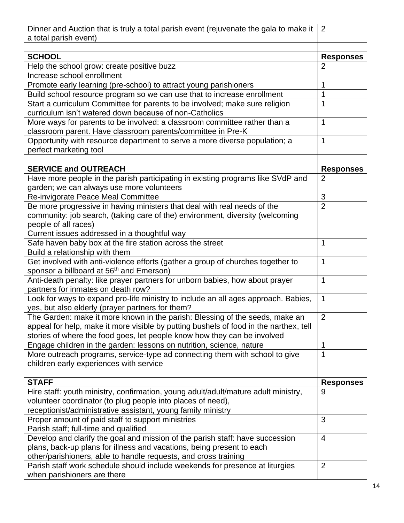| Dinner and Auction that is truly a total parish event (rejuvenate the gala to make it<br>a total parish event)                           | 2                |
|------------------------------------------------------------------------------------------------------------------------------------------|------------------|
|                                                                                                                                          |                  |
| <b>SCHOOL</b>                                                                                                                            | <b>Responses</b> |
| Help the school grow: create positive buzz<br>Increase school enrollment                                                                 | 2                |
| Promote early learning (pre-school) to attract young parishioners                                                                        | 1                |
| Build school resource program so we can use that to increase enrollment                                                                  | 1                |
| Start a curriculum Committee for parents to be involved; make sure religion<br>curriculum isn't watered down because of non-Catholics    | 1                |
| More ways for parents to be involved: a classroom committee rather than a<br>classroom parent. Have classroom parents/committee in Pre-K | 1                |
| Opportunity with resource department to serve a more diverse population; a<br>perfect marketing tool                                     | 1                |
|                                                                                                                                          |                  |
| <b>SERVICE and OUTREACH</b>                                                                                                              | <b>Responses</b> |
| Have more people in the parish participating in existing programs like SVdP and<br>garden; we can always use more volunteers             | $\overline{2}$   |
| Re-invigorate Peace Meal Committee                                                                                                       | 3                |
| Be more progressive in having ministers that deal with real needs of the                                                                 | $\overline{2}$   |
| community: job search, (taking care of the) environment, diversity (welcoming                                                            |                  |
| people of all races)                                                                                                                     |                  |
| Current issues addressed in a thoughtful way                                                                                             |                  |
| Safe haven baby box at the fire station across the street<br>Build a relationship with them                                              | 1                |
| Get involved with anti-violence efforts (gather a group of churches together to                                                          | $\mathbf 1$      |
| sponsor a billboard at 56 <sup>th</sup> and Emerson)                                                                                     |                  |
| Anti-death penalty: like prayer partners for unborn babies, how about prayer<br>partners for inmates on death row?                       | 1                |
| Look for ways to expand pro-life ministry to include an all ages approach. Babies,<br>yes, but also elderly (prayer partners for them?   | $\mathbf{1}$     |
| The Garden: make it more known in the parish: Blessing of the seeds, make an                                                             | $\overline{2}$   |
| appeal for help, make it more visible by putting bushels of food in the narthex, tell                                                    |                  |
| stories of where the food goes, let people know how they can be involved                                                                 |                  |
| Engage children in the garden: lessons on nutrition, science, nature                                                                     | 1                |
| More outreach programs, service-type ad connecting them with school to give<br>children early experiences with service                   | 1                |
|                                                                                                                                          |                  |
| <b>STAFF</b>                                                                                                                             | <b>Responses</b> |
| Hire staff: youth ministry, confirmation, young adult/adult/mature adult ministry,                                                       | 9                |
| volunteer coordinator (to plug people into places of need),                                                                              |                  |
| receptionist/administrative assistant, young family ministry                                                                             |                  |
| Proper amount of paid staff to support ministries                                                                                        | 3                |
| Parish staff; full-time and qualified                                                                                                    |                  |
| Develop and clarify the goal and mission of the parish staff: have succession                                                            | 4                |
| plans, back-up plans for illness and vacations, being present to each                                                                    |                  |
| other/parishioners, able to handle requests, and cross training                                                                          |                  |
| Parish staff work schedule should include weekends for presence at liturgies                                                             | $\overline{2}$   |
| when parishioners are there                                                                                                              |                  |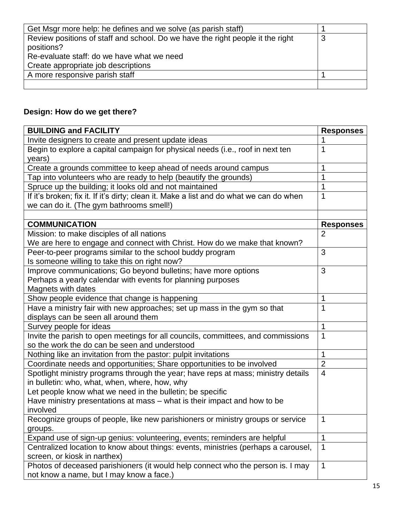| Get Msgr more help: he defines and we solve (as parish staff)                  |   |
|--------------------------------------------------------------------------------|---|
| Review positions of staff and school. Do we have the right people it the right | 3 |
| positions?                                                                     |   |
| Re-evaluate staff: do we have what we need                                     |   |
| Create appropriate job descriptions                                            |   |
| A more responsive parish staff                                                 |   |
|                                                                                |   |

## **Design: How do we get there?**

| <b>BUILDING and FACILITY</b>                                                            | <b>Responses</b> |
|-----------------------------------------------------------------------------------------|------------------|
| Invite designers to create and present update ideas                                     |                  |
| Begin to explore a capital campaign for physical needs (i.e., roof in next ten          | 1                |
| years)                                                                                  |                  |
| Create a grounds committee to keep ahead of needs around campus                         | 1                |
| Tap into volunteers who are ready to help (beautify the grounds)                        |                  |
| Spruce up the building; it looks old and not maintained                                 | 1                |
| If it's broken; fix it. If it's dirty; clean it. Make a list and do what we can do when | 1                |
| we can do it. (The gym bathrooms smell!)                                                |                  |
|                                                                                         |                  |
| <b>COMMUNICATION</b>                                                                    | <b>Responses</b> |
| Mission: to make disciples of all nations                                               | $\overline{2}$   |
| We are here to engage and connect with Christ. How do we make that known?               |                  |
| Peer-to-peer programs similar to the school buddy program                               | 3                |
| Is someone willing to take this on right now?                                           |                  |
| Improve communications; Go beyond bulletins; have more options                          | 3                |
| Perhaps a yearly calendar with events for planning purposes                             |                  |
| Magnets with dates                                                                      |                  |
| Show people evidence that change is happening                                           | 1                |
| Have a ministry fair with new approaches; set up mass in the gym so that                | 1                |
| displays can be seen all around them                                                    |                  |
| Survey people for ideas                                                                 | 1                |
| Invite the parish to open meetings for all councils, committees, and commissions        | 1                |
| so the work the do can be seen and understood                                           |                  |
| Nothing like an invitation from the pastor: pulpit invitations                          | 1                |
| Coordinate needs and opportunities; Share opportunities to be involved                  | $\overline{2}$   |
| Spotlight ministry programs through the year; have reps at mass; ministry details       | $\overline{4}$   |
| in bulletin: who, what, when, where, how, why                                           |                  |
| Let people know what we need in the bulletin; be specific                               |                  |
| Have ministry presentations at mass – what is their impact and how to be                |                  |
| involved                                                                                |                  |
| Recognize groups of people, like new parishioners or ministry groups or service         | 1                |
| groups.                                                                                 |                  |
| Expand use of sign-up genius: volunteering, events; reminders are helpful               | 1                |
| Centralized location to know about things: events, ministries (perhaps a carousel,      | 1                |
| screen, or kiosk in narthex)                                                            |                  |
| Photos of deceased parishioners (it would help connect who the person is. I may         | 1                |
| not know a name, but I may know a face.)                                                |                  |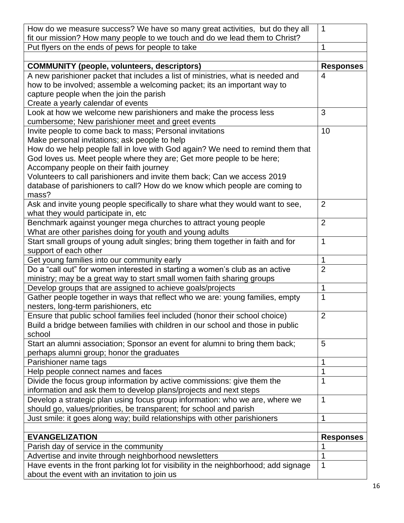| How do we measure success? We have so many great activities, but do they all<br>fit our mission? How many people to we touch and do we lead them to Christ? | 1                |
|-------------------------------------------------------------------------------------------------------------------------------------------------------------|------------------|
| Put flyers on the ends of pews for people to take                                                                                                           | 1                |
|                                                                                                                                                             |                  |
| <b>COMMUNITY (people, volunteers, descriptors)</b>                                                                                                          | <b>Responses</b> |
| A new parishioner packet that includes a list of ministries, what is needed and                                                                             | 4                |
| how to be involved; assemble a welcoming packet; its an important way to                                                                                    |                  |
| capture people when the join the parish                                                                                                                     |                  |
| Create a yearly calendar of events                                                                                                                          |                  |
| Look at how we welcome new parishioners and make the process less                                                                                           | 3                |
| cumbersome; New parishioner meet and greet events                                                                                                           |                  |
| Invite people to come back to mass; Personal invitations                                                                                                    | 10               |
| Make personal invitations; ask people to help                                                                                                               |                  |
| How do we help people fall in love with God again? We need to remind them that                                                                              |                  |
| God loves us. Meet people where they are; Get more people to be here;                                                                                       |                  |
| Accompany people on their faith journey                                                                                                                     |                  |
| Volunteers to call parishioners and invite them back; Can we access 2019                                                                                    |                  |
| database of parishioners to call? How do we know which people are coming to                                                                                 |                  |
| mass?                                                                                                                                                       |                  |
| Ask and invite young people specifically to share what they would want to see,                                                                              | 2                |
| what they would participate in, etc                                                                                                                         |                  |
| Benchmark against younger mega churches to attract young people                                                                                             | $\overline{2}$   |
| What are other parishes doing for youth and young adults                                                                                                    |                  |
| Start small groups of young adult singles; bring them together in faith and for                                                                             | 1                |
| support of each other                                                                                                                                       |                  |
| Get young families into our community early                                                                                                                 | 1                |
| Do a "call out" for women interested in starting a women's club as an active                                                                                | $\overline{2}$   |
| ministry; may be a great way to start small women faith sharing groups                                                                                      |                  |
| Develop groups that are assigned to achieve goals/projects                                                                                                  | 1                |
| Gather people together in ways that reflect who we are: young families, empty                                                                               | 1                |
| nesters, long-term parishioners, etc                                                                                                                        |                  |
| Ensure that public school families feel included (honor their school choice)                                                                                | $\overline{2}$   |
| Build a bridge between families with children in our school and those in public                                                                             |                  |
| school                                                                                                                                                      |                  |
| Start an alumni association; Sponsor an event for alumni to bring them back;                                                                                | 5                |
| perhaps alumni group; honor the graduates                                                                                                                   |                  |
| Parishioner name tags                                                                                                                                       | 1                |
| Help people connect names and faces                                                                                                                         | 1                |
| Divide the focus group information by active commissions: give them the                                                                                     | 1                |
| information and ask them to develop plans/projects and next steps                                                                                           |                  |
| Develop a strategic plan using focus group information: who we are, where we                                                                                | 1                |
| should go, values/priorities, be transparent; for school and parish                                                                                         |                  |
| Just smile: it goes along way; build relationships with other parishioners                                                                                  | 1                |
|                                                                                                                                                             |                  |
| <b>EVANGELIZATION</b>                                                                                                                                       | <b>Responses</b> |
| Parish day of service in the community                                                                                                                      |                  |
| Advertise and invite through neighborhood newsletters                                                                                                       | 1                |
| Have events in the front parking lot for visibility in the neighborhood; add signage                                                                        | 1                |
| about the event with an invitation to join us                                                                                                               |                  |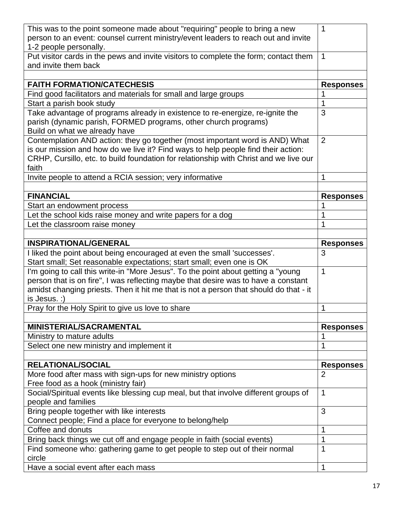| This was to the point someone made about "requiring" people to bring a new                                                                            | 1                                  |
|-------------------------------------------------------------------------------------------------------------------------------------------------------|------------------------------------|
| person to an event: counsel current ministry/event leaders to reach out and invite                                                                    |                                    |
| 1-2 people personally.                                                                                                                                |                                    |
| Put visitor cards in the pews and invite visitors to complete the form; contact them                                                                  | 1                                  |
| and invite them back                                                                                                                                  |                                    |
| <b>FAITH FORMATION/CATECHESIS</b>                                                                                                                     | <b>Responses</b>                   |
| Find good facilitators and materials for small and large groups                                                                                       | 1                                  |
| Start a parish book study                                                                                                                             | 1                                  |
| Take advantage of programs already in existence to re-energize, re-ignite the                                                                         | 3                                  |
| parish (dynamic parish, FORMED programs, other church programs)                                                                                       |                                    |
| Build on what we already have                                                                                                                         |                                    |
| Contemplation AND action: they go together (most important word is AND) What                                                                          | 2                                  |
| is our mission and how do we live it? Find ways to help people find their action:                                                                     |                                    |
| CRHP, Cursillo, etc. to build foundation for relationship with Christ and we live our                                                                 |                                    |
| faith                                                                                                                                                 |                                    |
| Invite people to attend a RCIA session; very informative                                                                                              | 1                                  |
|                                                                                                                                                       |                                    |
| <b>FINANCIAL</b>                                                                                                                                      | <b>Responses</b>                   |
| Start an endowment process                                                                                                                            | 1                                  |
| Let the school kids raise money and write papers for a dog                                                                                            | 1                                  |
| Let the classroom raise money                                                                                                                         | 1                                  |
|                                                                                                                                                       |                                    |
| <b>INSPIRATIONAL/GENERAL</b>                                                                                                                          | <b>Responses</b>                   |
| I liked the point about being encouraged at even the small 'successes'.                                                                               | 3                                  |
|                                                                                                                                                       |                                    |
| Start small; Set reasonable expectations; start small; even one is OK                                                                                 |                                    |
| I'm going to call this write-in "More Jesus". To the point about getting a "young"                                                                    | $\mathbf{1}$                       |
| person that is on fire", I was reflecting maybe that desire was to have a constant                                                                    |                                    |
| amidst changing priests. Then it hit me that is not a person that should do that - it                                                                 |                                    |
| is Jesus. :)                                                                                                                                          |                                    |
| Pray for the Holy Spirit to give us love to share                                                                                                     | 1                                  |
|                                                                                                                                                       |                                    |
| MINISTERIAL/SACRAMENTAL                                                                                                                               | <b>Responses</b>                   |
| Ministry to mature adults                                                                                                                             | 1                                  |
| Select one new ministry and implement it                                                                                                              | 1                                  |
|                                                                                                                                                       |                                    |
| <b>RELATIONAL/SOCIAL</b>                                                                                                                              | <b>Responses</b><br>$\overline{2}$ |
| More food after mass with sign-ups for new ministry options                                                                                           |                                    |
| Free food as a hook (ministry fair)                                                                                                                   | $\mathbf 1$                        |
| Social/Spiritual events like blessing cup meal, but that involve different groups of                                                                  |                                    |
| people and families                                                                                                                                   | 3                                  |
| Bring people together with like interests                                                                                                             |                                    |
| Connect people; Find a place for everyone to belong/help<br>Coffee and donuts                                                                         | 1                                  |
|                                                                                                                                                       | 1                                  |
| Bring back things we cut off and engage people in faith (social events)<br>Find someone who: gathering game to get people to step out of their normal | 1                                  |
| circle<br>Have a social event after each mass                                                                                                         | $\mathbf 1$                        |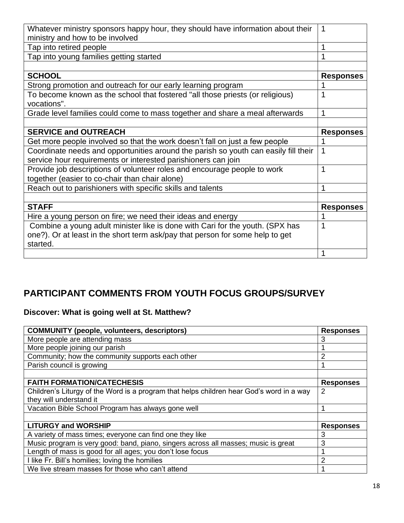| Whatever ministry sponsors happy hour, they should have information about their     | 1                |
|-------------------------------------------------------------------------------------|------------------|
| ministry and how to be involved                                                     |                  |
| Tap into retired people                                                             |                  |
| Tap into young families getting started                                             |                  |
|                                                                                     |                  |
| <b>SCHOOL</b>                                                                       | <b>Responses</b> |
| Strong promotion and outreach for our early learning program                        |                  |
| To become known as the school that fostered "all those priests (or religious)       |                  |
| vocations".                                                                         |                  |
| Grade level families could come to mass together and share a meal afterwards        | 1                |
|                                                                                     |                  |
| <b>SERVICE and OUTREACH</b>                                                         | <b>Responses</b> |
| Get more people involved so that the work doesn't fall on just a few people         |                  |
| Coordinate needs and opportunities around the parish so youth can easily fill their | 1                |
| service hour requirements or interested parishioners can join                       |                  |
| Provide job descriptions of volunteer roles and encourage people to work            | 1                |
| together (easier to co-chair than chair alone)                                      |                  |
| Reach out to parishioners with specific skills and talents                          | 1                |
|                                                                                     |                  |
| <b>STAFF</b>                                                                        | <b>Responses</b> |
| Hire a young person on fire; we need their ideas and energy                         |                  |
| Combine a young adult minister like is done with Cari for the youth. (SPX has       |                  |
| one?). Or at least in the short term ask/pay that person for some help to get       |                  |
| started.                                                                            |                  |
|                                                                                     | 1                |

# **PARTICIPANT COMMENTS FROM YOUTH FOCUS GROUPS/SURVEY**

### **Discover: What is going well at St. Matthew?**

| <b>COMMUNITY (people, volunteers, descriptors)</b>                                       | <b>Responses</b> |
|------------------------------------------------------------------------------------------|------------------|
| More people are attending mass                                                           | 3                |
| More people joining our parish                                                           |                  |
| Community; how the community supports each other                                         | 2                |
| Parish council is growing                                                                |                  |
|                                                                                          |                  |
| <b>FAITH FORMATION/CATECHESIS</b>                                                        | <b>Responses</b> |
| Children's Liturgy of the Word is a program that helps children hear God's word in a way | 2                |
| they will understand it                                                                  |                  |
| Vacation Bible School Program has always gone well                                       |                  |
|                                                                                          |                  |
| <b>LITURGY and WORSHIP</b>                                                               | <b>Responses</b> |
| A variety of mass times; everyone can find one they like                                 | 3                |
| Music program is very good: band, piano, singers across all masses; music is great       | 3                |
| Length of mass is good for all ages; you don't lose focus                                |                  |
| I like Fr. Bill's homilies; loving the homilies                                          | 2                |
| We live stream masses for those who can't attend                                         |                  |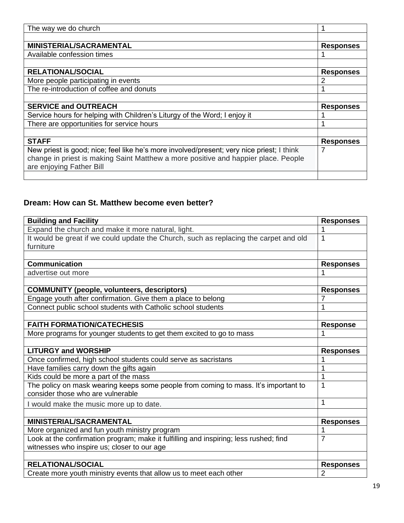| The way we do church                                                                      |                  |
|-------------------------------------------------------------------------------------------|------------------|
|                                                                                           |                  |
| <b>MINISTERIAL/SACRAMENTAL</b>                                                            | <b>Responses</b> |
| Available confession times                                                                |                  |
|                                                                                           |                  |
| <b>RELATIONAL/SOCIAL</b>                                                                  | <b>Responses</b> |
| More people participating in events                                                       |                  |
| The re-introduction of coffee and donuts                                                  |                  |
|                                                                                           |                  |
| <b>SERVICE and OUTREACH</b>                                                               | <b>Responses</b> |
| Service hours for helping with Children's Liturgy of the Word; I enjoy it                 |                  |
| There are opportunities for service hours                                                 |                  |
|                                                                                           |                  |
| <b>STAFF</b>                                                                              | <b>Responses</b> |
| New priest is good; nice; feel like he's more involved/present; very nice priest; I think |                  |
| change in priest is making Saint Matthew a more positive and happier place. People        |                  |
| are enjoying Father Bill                                                                  |                  |
|                                                                                           |                  |

## **Dream: How can St. Matthew become even better?**

| <b>Building and Facility</b>                                                          | <b>Responses</b> |
|---------------------------------------------------------------------------------------|------------------|
| Expand the church and make it more natural, light.                                    |                  |
| It would be great if we could update the Church, such as replacing the carpet and old | 1                |
| furniture                                                                             |                  |
|                                                                                       |                  |
| <b>Communication</b>                                                                  | <b>Responses</b> |
| advertise out more                                                                    | 1                |
|                                                                                       |                  |
| <b>COMMUNITY (people, volunteers, descriptors)</b>                                    | <b>Responses</b> |
| Engage youth after confirmation. Give them a place to belong                          | 7                |
| Connect public school students with Catholic school students                          | 1                |
|                                                                                       |                  |
| <b>FAITH FORMATION/CATECHESIS</b>                                                     | <b>Response</b>  |
| More programs for younger students to get them excited to go to mass                  |                  |
|                                                                                       |                  |
| <b>LITURGY and WORSHIP</b>                                                            | <b>Responses</b> |
| Once confirmed, high school students could serve as sacristans                        |                  |
| Have families carry down the gifts again                                              | 1                |
| Kids could be more a part of the mass                                                 | 1                |
| The policy on mask wearing keeps some people from coming to mass. It's important to   | 1                |
| consider those who are vulnerable                                                     |                  |
| I would make the music more up to date.                                               | 1                |
|                                                                                       |                  |
| <b>MINISTERIAL/SACRAMENTAL</b>                                                        | <b>Responses</b> |
| More organized and fun youth ministry program                                         | 1                |
| Look at the confirmation program; make it fulfilling and inspiring; less rushed; find | $\overline{7}$   |
| witnesses who inspire us; closer to our age                                           |                  |
|                                                                                       |                  |
| <b>RELATIONAL/SOCIAL</b>                                                              | <b>Responses</b> |
|                                                                                       |                  |